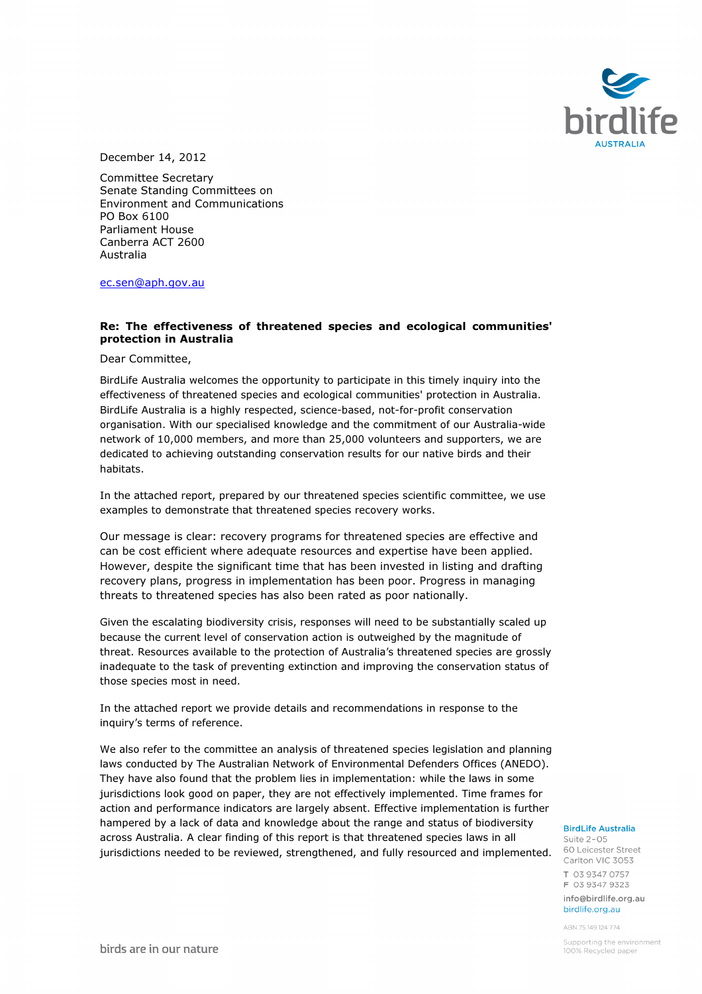

December 14, 2012

Committee Secretary Senate Standing Committees on Environment and Communications PO Box 6100 Parliament House Canberra ACT 2600 Australia

ec.sen@aph.gov.au

#### Re: The effectiveness of threatened species and ecological communities' protection in Australia

Dear Committee,

BirdLife Australia welcomes the opportunity to participate in this timely inquiry into the effectiveness of threatened species and ecological communities' protection in Australia. BirdLife Australia is a highly respected, science-based, not-for-profit conservation organisation. With our specialised knowledge and the commitment of our Australia-wide network of 10,000 members, and more than 25,000 volunteers and supporters, we are dedicated to achieving outstanding conservation results for our native birds and their habitats.

In the attached report, prepared by our threatened species scientific committee, we use examples to demonstrate that threatened species recovery works.

Our message is clear: recovery programs for threatened species are effective and can be cost efficient where adequate resources and expertise have been applied. However, despite the significant time that has been invested in listing and drafting recovery plans, progress in implementation has been poor. Progress in managing threats to threatened species has also been rated as poor nationally.

Given the escalating biodiversity crisis, responses will need to be substantially scaled up because the current level of conservation action is outweighed by the magnitude of threat. Resources available to the protection of Australia's threatened species are grossly inadequate to the task of preventing extinction and improving the conservation status of those species most in need.

In the attached report we provide details and recommendations in response to the inquiry's terms of reference.

We also refer to the committee an analysis of threatened species legislation and planning laws conducted by The Australian Network of Environmental Defenders Offices (ANEDO). They have also found that the problem lies in implementation: while the laws in some jurisdictions look good on paper, they are not effectively implemented. Time frames for action and performance indicators are largely absent. Effective implementation is further hampered by a lack of data and knowledge about the range and status of biodiversity across Australia. A clear finding of this report is that threatened species laws in all jurisdictions needed to be reviewed, strengthened, and fully resourced and implemented. 60 Leicester Street

#### **BirdLife Australia**

Suite 2-05 Carlton VIC 3053 T 03 9347 0757 F 03 9347 9323 info@birdlife.org.au birdlife org au

ABN 75149124774

Supporting the environment 100% Recycled paper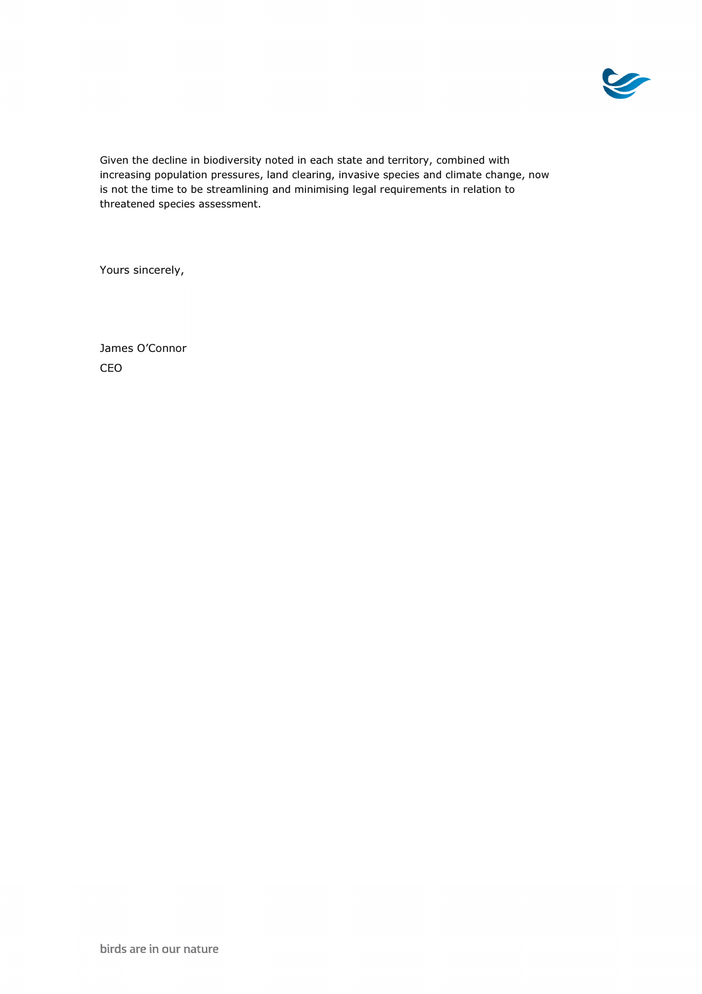

Given the decline in biodiversity noted in each state and territory, combined with increasing population pressures, land clearing, invasive species and climate change, now is not the time to be streamlining and minimising legal requirements in relation to threatened species assessment.

Yours sincerely,

James O'Connor CEO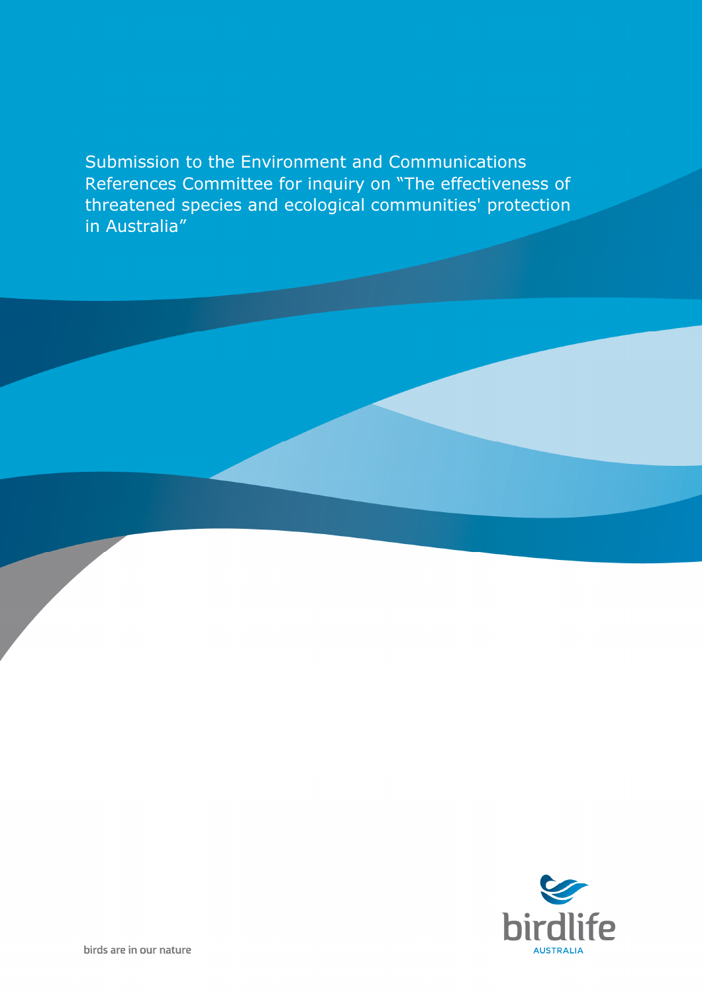Submission to the Environment and Communications References Committee for inquiry on "The effectiveness of threatened species and ecological communities' protection in Australia"

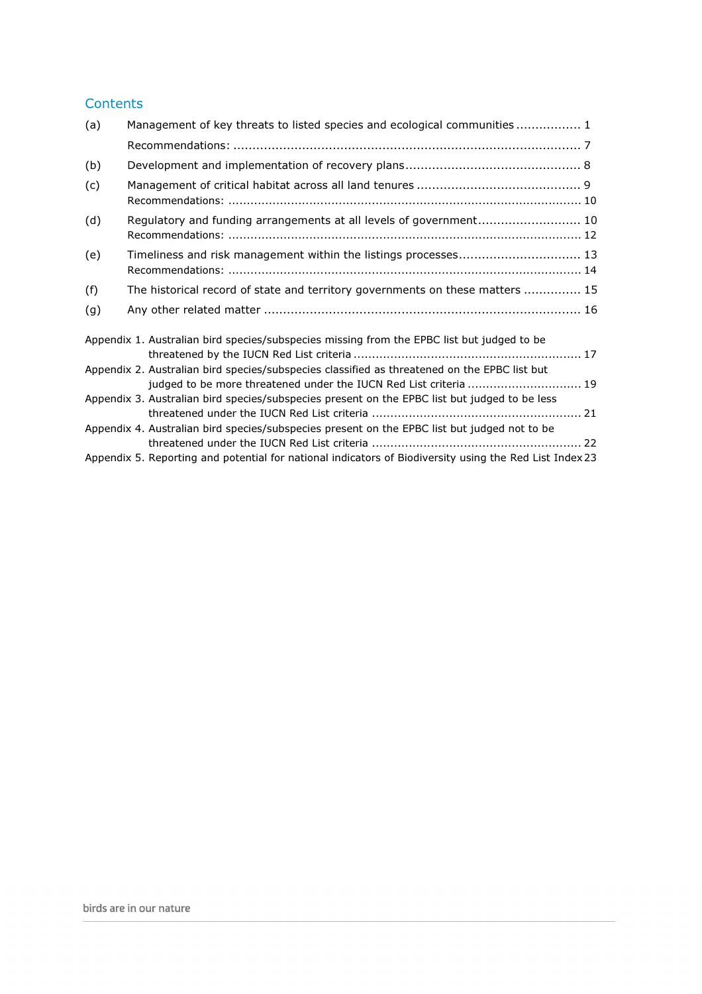### **Contents**

| (a) | Management of key threats to listed species and ecological communities  1                                                                                         |  |
|-----|-------------------------------------------------------------------------------------------------------------------------------------------------------------------|--|
|     |                                                                                                                                                                   |  |
| (b) |                                                                                                                                                                   |  |
| (c) |                                                                                                                                                                   |  |
| (d) | Regulatory and funding arrangements at all levels of government 10                                                                                                |  |
| (e) | Timeliness and risk management within the listings processes 13                                                                                                   |  |
| (f) | The historical record of state and territory governments on these matters  15                                                                                     |  |
| (g) |                                                                                                                                                                   |  |
|     | Appendix 1. Australian bird species/subspecies missing from the EPBC list but judged to be                                                                        |  |
|     | Appendix 2. Australian bird species/subspecies classified as threatened on the EPBC list but<br>judged to be more threatened under the IUCN Red List criteria  19 |  |
|     | Appendix 3. Australian bird species/subspecies present on the EPBC list but judged to be less                                                                     |  |
|     | Appendix 4. Australian bird species/subspecies present on the EPBC list but judged not to be                                                                      |  |
|     | Appendix 5. Reporting and potential for national indicators of Biodiversity using the Red List Index 23                                                           |  |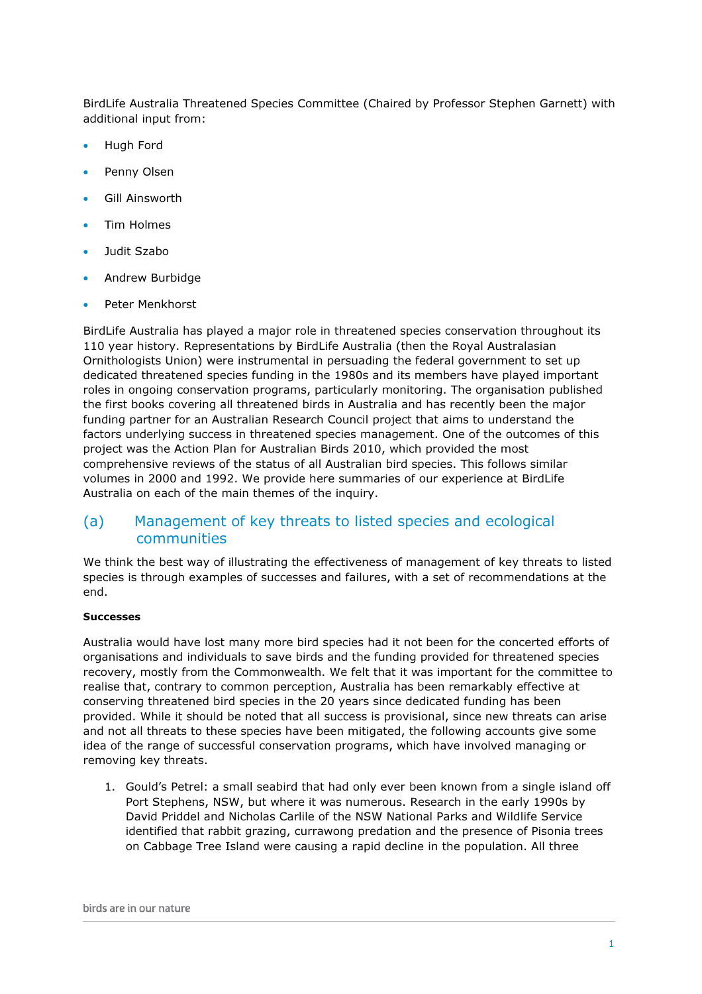BirdLife Australia Threatened Species Committee (Chaired by Professor Stephen Garnett) with additional input from:

- Hugh Ford
- Penny Olsen
- Gill Ainsworth
- Tim Holmes
- Judit Szabo
- Andrew Burbidge
- Peter Menkhorst

BirdLife Australia has played a major role in threatened species conservation throughout its 110 year history. Representations by BirdLife Australia (then the Royal Australasian Ornithologists Union) were instrumental in persuading the federal government to set up dedicated threatened species funding in the 1980s and its members have played important roles in ongoing conservation programs, particularly monitoring. The organisation published the first books covering all threatened birds in Australia and has recently been the major funding partner for an Australian Research Council project that aims to understand the factors underlying success in threatened species management. One of the outcomes of this project was the Action Plan for Australian Birds 2010, which provided the most comprehensive reviews of the status of all Australian bird species. This follows similar volumes in 2000 and 1992. We provide here summaries of our experience at BirdLife Australia on each of the main themes of the inquiry.

## (a) Management of key threats to listed species and ecological communities

We think the best way of illustrating the effectiveness of management of key threats to listed species is through examples of successes and failures, with a set of recommendations at the end.

#### Successes

Australia would have lost many more bird species had it not been for the concerted efforts of organisations and individuals to save birds and the funding provided for threatened species recovery, mostly from the Commonwealth. We felt that it was important for the committee to realise that, contrary to common perception, Australia has been remarkably effective at conserving threatened bird species in the 20 years since dedicated funding has been provided. While it should be noted that all success is provisional, since new threats can arise and not all threats to these species have been mitigated, the following accounts give some idea of the range of successful conservation programs, which have involved managing or removing key threats.

1. Gould's Petrel: a small seabird that had only ever been known from a single island off Port Stephens, NSW, but where it was numerous. Research in the early 1990s by David Priddel and Nicholas Carlile of the NSW National Parks and Wildlife Service identified that rabbit grazing, currawong predation and the presence of Pisonia trees on Cabbage Tree Island were causing a rapid decline in the population. All three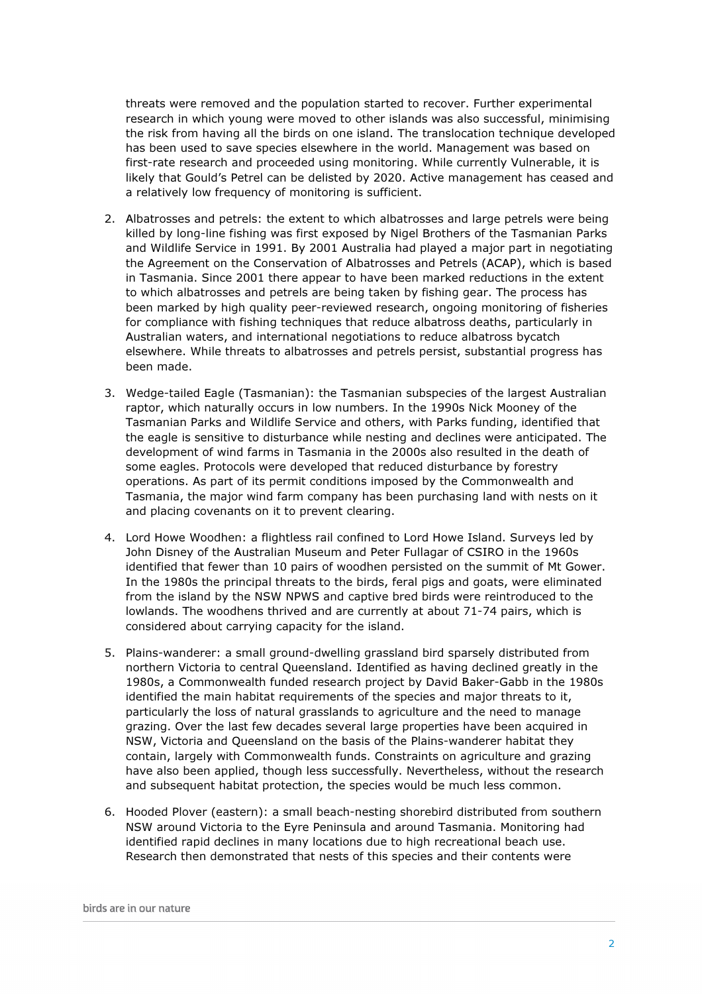threats were removed and the population started to recover. Further experimental research in which young were moved to other islands was also successful, minimising the risk from having all the birds on one island. The translocation technique developed has been used to save species elsewhere in the world. Management was based on first-rate research and proceeded using monitoring. While currently Vulnerable, it is likely that Gould's Petrel can be delisted by 2020. Active management has ceased and a relatively low frequency of monitoring is sufficient.

- 2. Albatrosses and petrels: the extent to which albatrosses and large petrels were being killed by long-line fishing was first exposed by Nigel Brothers of the Tasmanian Parks and Wildlife Service in 1991. By 2001 Australia had played a major part in negotiating the Agreement on the Conservation of Albatrosses and Petrels (ACAP), which is based in Tasmania. Since 2001 there appear to have been marked reductions in the extent to which albatrosses and petrels are being taken by fishing gear. The process has been marked by high quality peer-reviewed research, ongoing monitoring of fisheries for compliance with fishing techniques that reduce albatross deaths, particularly in Australian waters, and international negotiations to reduce albatross bycatch elsewhere. While threats to albatrosses and petrels persist, substantial progress has been made.
- 3. Wedge-tailed Eagle (Tasmanian): the Tasmanian subspecies of the largest Australian raptor, which naturally occurs in low numbers. In the 1990s Nick Mooney of the Tasmanian Parks and Wildlife Service and others, with Parks funding, identified that the eagle is sensitive to disturbance while nesting and declines were anticipated. The development of wind farms in Tasmania in the 2000s also resulted in the death of some eagles. Protocols were developed that reduced disturbance by forestry operations. As part of its permit conditions imposed by the Commonwealth and Tasmania, the major wind farm company has been purchasing land with nests on it and placing covenants on it to prevent clearing.
- 4. Lord Howe Woodhen: a flightless rail confined to Lord Howe Island. Surveys led by John Disney of the Australian Museum and Peter Fullagar of CSIRO in the 1960s identified that fewer than 10 pairs of woodhen persisted on the summit of Mt Gower. In the 1980s the principal threats to the birds, feral pigs and goats, were eliminated from the island by the NSW NPWS and captive bred birds were reintroduced to the lowlands. The woodhens thrived and are currently at about 71-74 pairs, which is considered about carrying capacity for the island.
- 5. Plains-wanderer: a small ground-dwelling grassland bird sparsely distributed from northern Victoria to central Queensland. Identified as having declined greatly in the 1980s, a Commonwealth funded research project by David Baker-Gabb in the 1980s identified the main habitat requirements of the species and major threats to it, particularly the loss of natural grasslands to agriculture and the need to manage grazing. Over the last few decades several large properties have been acquired in NSW, Victoria and Queensland on the basis of the Plains-wanderer habitat they contain, largely with Commonwealth funds. Constraints on agriculture and grazing have also been applied, though less successfully. Nevertheless, without the research and subsequent habitat protection, the species would be much less common.
- 6. Hooded Plover (eastern): a small beach-nesting shorebird distributed from southern NSW around Victoria to the Eyre Peninsula and around Tasmania. Monitoring had identified rapid declines in many locations due to high recreational beach use. Research then demonstrated that nests of this species and their contents were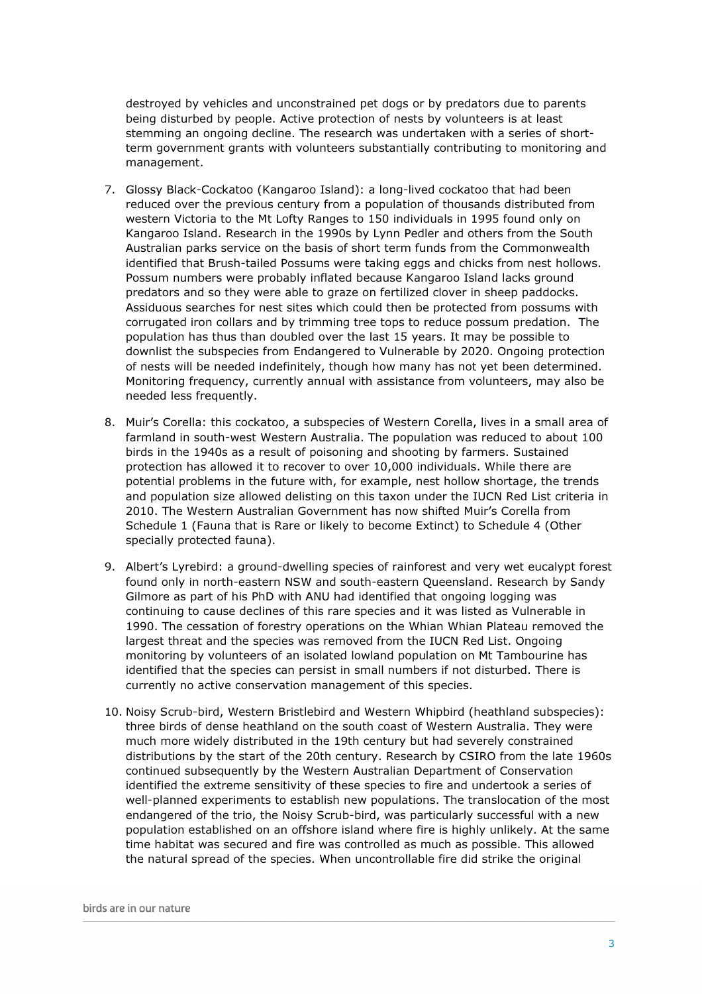destroyed by vehicles and unconstrained pet dogs or by predators due to parents being disturbed by people. Active protection of nests by volunteers is at least stemming an ongoing decline. The research was undertaken with a series of shortterm government grants with volunteers substantially contributing to monitoring and management.

- 7. Glossy Black-Cockatoo (Kangaroo Island): a long-lived cockatoo that had been reduced over the previous century from a population of thousands distributed from western Victoria to the Mt Lofty Ranges to 150 individuals in 1995 found only on Kangaroo Island. Research in the 1990s by Lynn Pedler and others from the South Australian parks service on the basis of short term funds from the Commonwealth identified that Brush-tailed Possums were taking eggs and chicks from nest hollows. Possum numbers were probably inflated because Kangaroo Island lacks ground predators and so they were able to graze on fertilized clover in sheep paddocks. Assiduous searches for nest sites which could then be protected from possums with corrugated iron collars and by trimming tree tops to reduce possum predation. The population has thus than doubled over the last 15 years. It may be possible to downlist the subspecies from Endangered to Vulnerable by 2020. Ongoing protection of nests will be needed indefinitely, though how many has not yet been determined. Monitoring frequency, currently annual with assistance from volunteers, may also be needed less frequently.
- 8. Muir's Corella: this cockatoo, a subspecies of Western Corella, lives in a small area of farmland in south-west Western Australia. The population was reduced to about 100 birds in the 1940s as a result of poisoning and shooting by farmers. Sustained protection has allowed it to recover to over 10,000 individuals. While there are potential problems in the future with, for example, nest hollow shortage, the trends and population size allowed delisting on this taxon under the IUCN Red List criteria in 2010. The Western Australian Government has now shifted Muir's Corella from Schedule 1 (Fauna that is Rare or likely to become Extinct) to Schedule 4 (Other specially protected fauna).
- 9. Albert's Lyrebird: a ground-dwelling species of rainforest and very wet eucalypt forest found only in north-eastern NSW and south-eastern Queensland. Research by Sandy Gilmore as part of his PhD with ANU had identified that ongoing logging was continuing to cause declines of this rare species and it was listed as Vulnerable in 1990. The cessation of forestry operations on the Whian Whian Plateau removed the largest threat and the species was removed from the IUCN Red List. Ongoing monitoring by volunteers of an isolated lowland population on Mt Tambourine has identified that the species can persist in small numbers if not disturbed. There is currently no active conservation management of this species.
- 10. Noisy Scrub-bird, Western Bristlebird and Western Whipbird (heathland subspecies): three birds of dense heathland on the south coast of Western Australia. They were much more widely distributed in the 19th century but had severely constrained distributions by the start of the 20th century. Research by CSIRO from the late 1960s continued subsequently by the Western Australian Department of Conservation identified the extreme sensitivity of these species to fire and undertook a series of well-planned experiments to establish new populations. The translocation of the most endangered of the trio, the Noisy Scrub-bird, was particularly successful with a new population established on an offshore island where fire is highly unlikely. At the same time habitat was secured and fire was controlled as much as possible. This allowed the natural spread of the species. When uncontrollable fire did strike the original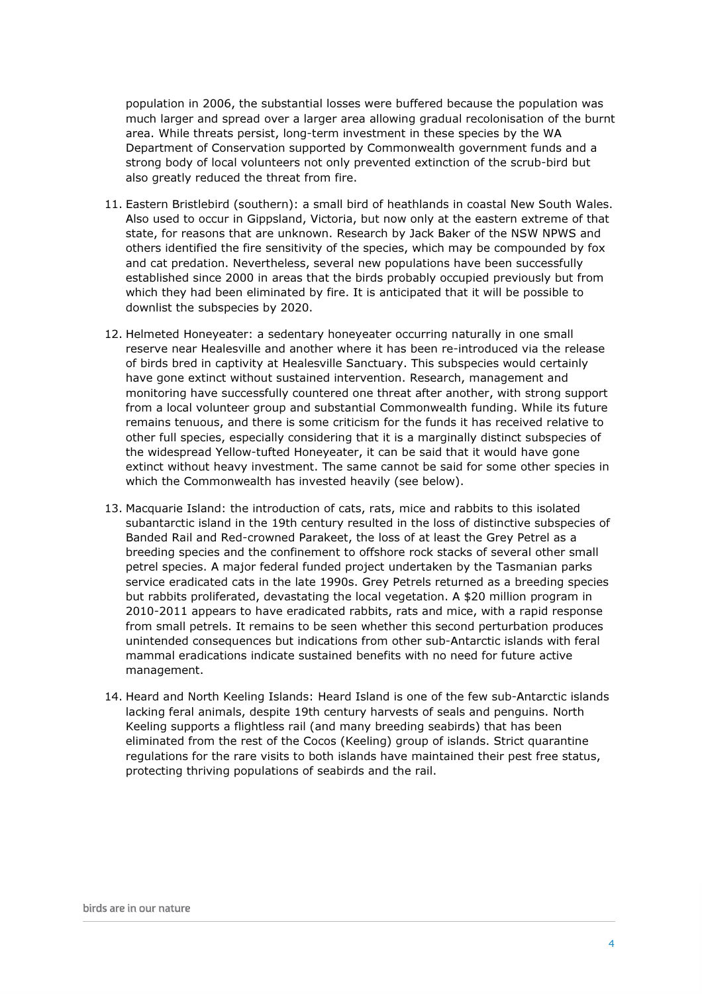population in 2006, the substantial losses were buffered because the population was much larger and spread over a larger area allowing gradual recolonisation of the burnt area. While threats persist, long-term investment in these species by the WA Department of Conservation supported by Commonwealth government funds and a strong body of local volunteers not only prevented extinction of the scrub-bird but also greatly reduced the threat from fire.

- 11. Eastern Bristlebird (southern): a small bird of heathlands in coastal New South Wales. Also used to occur in Gippsland, Victoria, but now only at the eastern extreme of that state, for reasons that are unknown. Research by Jack Baker of the NSW NPWS and others identified the fire sensitivity of the species, which may be compounded by fox and cat predation. Nevertheless, several new populations have been successfully established since 2000 in areas that the birds probably occupied previously but from which they had been eliminated by fire. It is anticipated that it will be possible to downlist the subspecies by 2020.
- 12. Helmeted Honeyeater: a sedentary honeyeater occurring naturally in one small reserve near Healesville and another where it has been re-introduced via the release of birds bred in captivity at Healesville Sanctuary. This subspecies would certainly have gone extinct without sustained intervention. Research, management and monitoring have successfully countered one threat after another, with strong support from a local volunteer group and substantial Commonwealth funding. While its future remains tenuous, and there is some criticism for the funds it has received relative to other full species, especially considering that it is a marginally distinct subspecies of the widespread Yellow-tufted Honeyeater, it can be said that it would have gone extinct without heavy investment. The same cannot be said for some other species in which the Commonwealth has invested heavily (see below).
- 13. Macquarie Island: the introduction of cats, rats, mice and rabbits to this isolated subantarctic island in the 19th century resulted in the loss of distinctive subspecies of Banded Rail and Red-crowned Parakeet, the loss of at least the Grey Petrel as a breeding species and the confinement to offshore rock stacks of several other small petrel species. A major federal funded project undertaken by the Tasmanian parks service eradicated cats in the late 1990s. Grey Petrels returned as a breeding species but rabbits proliferated, devastating the local vegetation. A \$20 million program in 2010-2011 appears to have eradicated rabbits, rats and mice, with a rapid response from small petrels. It remains to be seen whether this second perturbation produces unintended consequences but indications from other sub-Antarctic islands with feral mammal eradications indicate sustained benefits with no need for future active management.
- 14. Heard and North Keeling Islands: Heard Island is one of the few sub-Antarctic islands lacking feral animals, despite 19th century harvests of seals and penguins. North Keeling supports a flightless rail (and many breeding seabirds) that has been eliminated from the rest of the Cocos (Keeling) group of islands. Strict quarantine regulations for the rare visits to both islands have maintained their pest free status, protecting thriving populations of seabirds and the rail.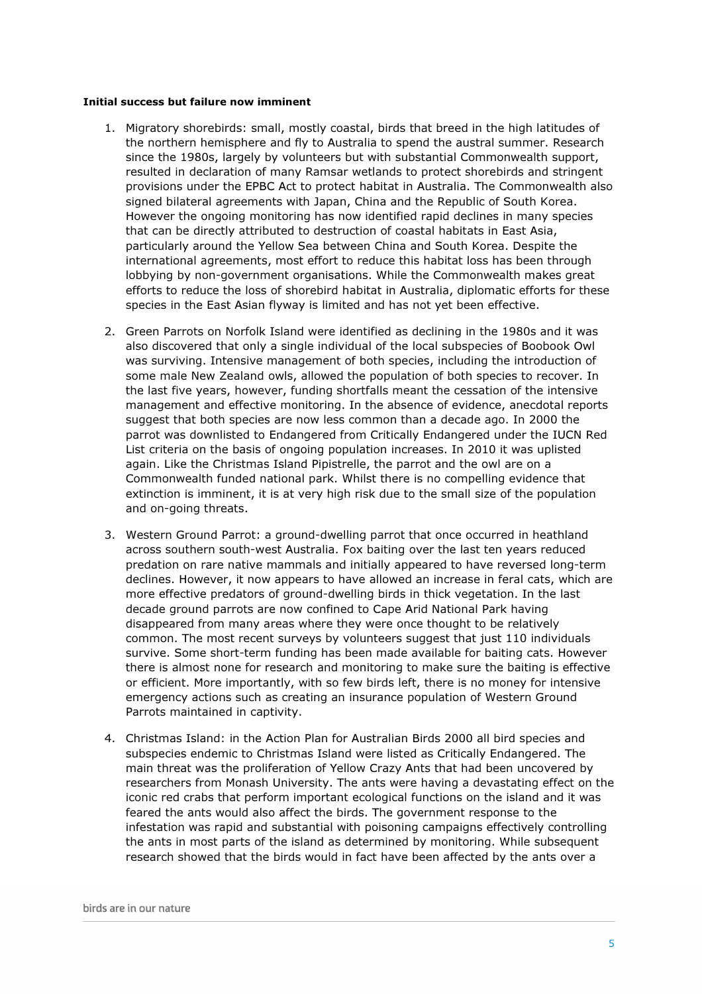#### Initial success but failure now imminent

- 1. Migratory shorebirds: small, mostly coastal, birds that breed in the high latitudes of the northern hemisphere and fly to Australia to spend the austral summer. Research since the 1980s, largely by volunteers but with substantial Commonwealth support, resulted in declaration of many Ramsar wetlands to protect shorebirds and stringent provisions under the EPBC Act to protect habitat in Australia. The Commonwealth also signed bilateral agreements with Japan, China and the Republic of South Korea. However the ongoing monitoring has now identified rapid declines in many species that can be directly attributed to destruction of coastal habitats in East Asia, particularly around the Yellow Sea between China and South Korea. Despite the international agreements, most effort to reduce this habitat loss has been through lobbying by non-government organisations. While the Commonwealth makes great efforts to reduce the loss of shorebird habitat in Australia, diplomatic efforts for these species in the East Asian flyway is limited and has not yet been effective.
- 2. Green Parrots on Norfolk Island were identified as declining in the 1980s and it was also discovered that only a single individual of the local subspecies of Boobook Owl was surviving. Intensive management of both species, including the introduction of some male New Zealand owls, allowed the population of both species to recover. In the last five years, however, funding shortfalls meant the cessation of the intensive management and effective monitoring. In the absence of evidence, anecdotal reports suggest that both species are now less common than a decade ago. In 2000 the parrot was downlisted to Endangered from Critically Endangered under the IUCN Red List criteria on the basis of ongoing population increases. In 2010 it was uplisted again. Like the Christmas Island Pipistrelle, the parrot and the owl are on a Commonwealth funded national park. Whilst there is no compelling evidence that extinction is imminent, it is at very high risk due to the small size of the population and on-going threats.
- 3. Western Ground Parrot: a ground-dwelling parrot that once occurred in heathland across southern south-west Australia. Fox baiting over the last ten years reduced predation on rare native mammals and initially appeared to have reversed long-term declines. However, it now appears to have allowed an increase in feral cats, which are more effective predators of ground-dwelling birds in thick vegetation. In the last decade ground parrots are now confined to Cape Arid National Park having disappeared from many areas where they were once thought to be relatively common. The most recent surveys by volunteers suggest that just 110 individuals survive. Some short-term funding has been made available for baiting cats. However there is almost none for research and monitoring to make sure the baiting is effective or efficient. More importantly, with so few birds left, there is no money for intensive emergency actions such as creating an insurance population of Western Ground Parrots maintained in captivity.
- 4. Christmas Island: in the Action Plan for Australian Birds 2000 all bird species and subspecies endemic to Christmas Island were listed as Critically Endangered. The main threat was the proliferation of Yellow Crazy Ants that had been uncovered by researchers from Monash University. The ants were having a devastating effect on the iconic red crabs that perform important ecological functions on the island and it was feared the ants would also affect the birds. The government response to the infestation was rapid and substantial with poisoning campaigns effectively controlling the ants in most parts of the island as determined by monitoring. While subsequent research showed that the birds would in fact have been affected by the ants over a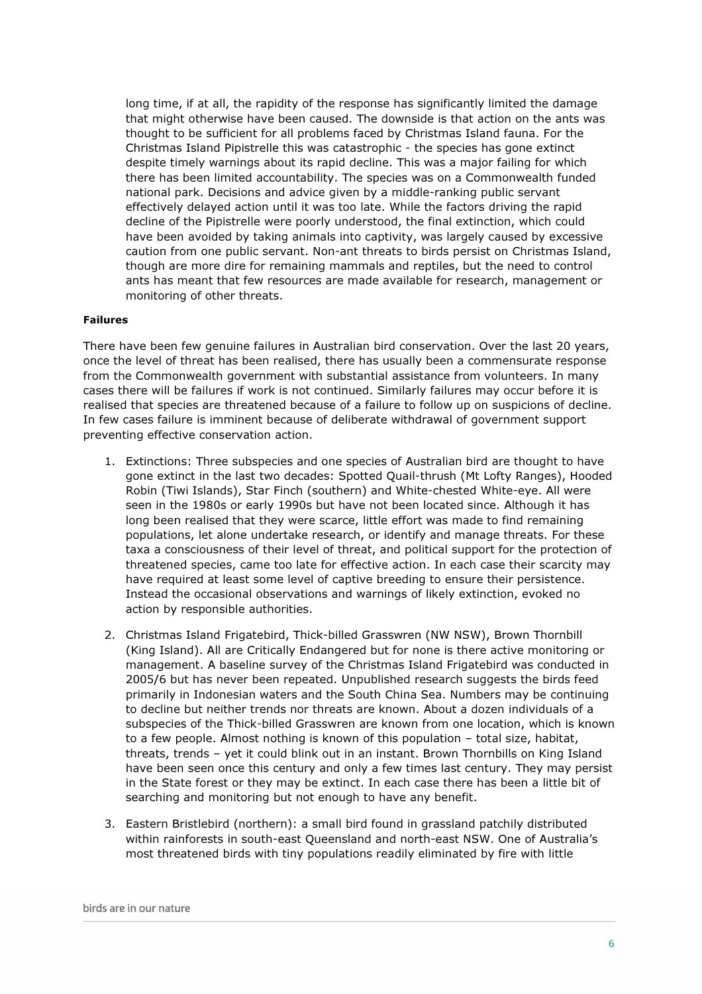long time, if at all, the rapidity of the response has significantly limited the damage that might otherwise have been caused. The downside is that action on the ants was thought to be sufficient for all problems faced by Christmas Island fauna. For the Christmas Island Pipistrelle this was catastrophic - the species has gone extinct despite timely warnings about its rapid decline. This was a major failing for which there has been limited accountability. The species was on a Commonwealth funded national park. Decisions and advice given by a middle-ranking public servant effectively delayed action until it was too late. While the factors driving the rapid decline of the Pipistrelle were poorly understood, the final extinction, which could have been avoided by taking animals into captivity, was largely caused by excessive caution from one public servant. Non-ant threats to birds persist on Christmas Island, though are more dire for remaining mammals and reptiles, but the need to control ants has meant that few resources are made available for research, management or monitoring of other threats.

#### Failures

There have been few genuine failures in Australian bird conservation. Over the last 20 years, once the level of threat has been realised, there has usually been a commensurate response from the Commonwealth government with substantial assistance from volunteers. In many cases there will be failures if work is not continued. Similarly failures may occur before it is realised that species are threatened because of a failure to follow up on suspicions of decline. In few cases failure is imminent because of deliberate withdrawal of government support preventing effective conservation action.

- 1. Extinctions: Three subspecies and one species of Australian bird are thought to have gone extinct in the last two decades: Spotted Quail-thrush (Mt Lofty Ranges), Hooded Robin (Tiwi Islands), Star Finch (southern) and White-chested White-eye. All were seen in the 1980s or early 1990s but have not been located since. Although it has long been realised that they were scarce, little effort was made to find remaining populations, let alone undertake research, or identify and manage threats. For these taxa a consciousness of their level of threat, and political support for the protection of threatened species, came too late for effective action. In each case their scarcity may have required at least some level of captive breeding to ensure their persistence. Instead the occasional observations and warnings of likely extinction, evoked no action by responsible authorities.
- 2. Christmas Island Frigatebird, Thick-billed Grasswren (NW NSW), Brown Thornbill (King Island). All are Critically Endangered but for none is there active monitoring or management. A baseline survey of the Christmas Island Frigatebird was conducted in 2005/6 but has never been repeated. Unpublished research suggests the birds feed primarily in Indonesian waters and the South China Sea. Numbers may be continuing to decline but neither trends nor threats are known. About a dozen individuals of a subspecies of the Thick-billed Grasswren are known from one location, which is known to a few people. Almost nothing is known of this population – total size, habitat, threats, trends – yet it could blink out in an instant. Brown Thornbills on King Island have been seen once this century and only a few times last century. They may persist in the State forest or they may be extinct. In each case there has been a little bit of searching and monitoring but not enough to have any benefit.
- 3. Eastern Bristlebird (northern): a small bird found in grassland patchily distributed within rainforests in south-east Queensland and north-east NSW. One of Australia's most threatened birds with tiny populations readily eliminated by fire with little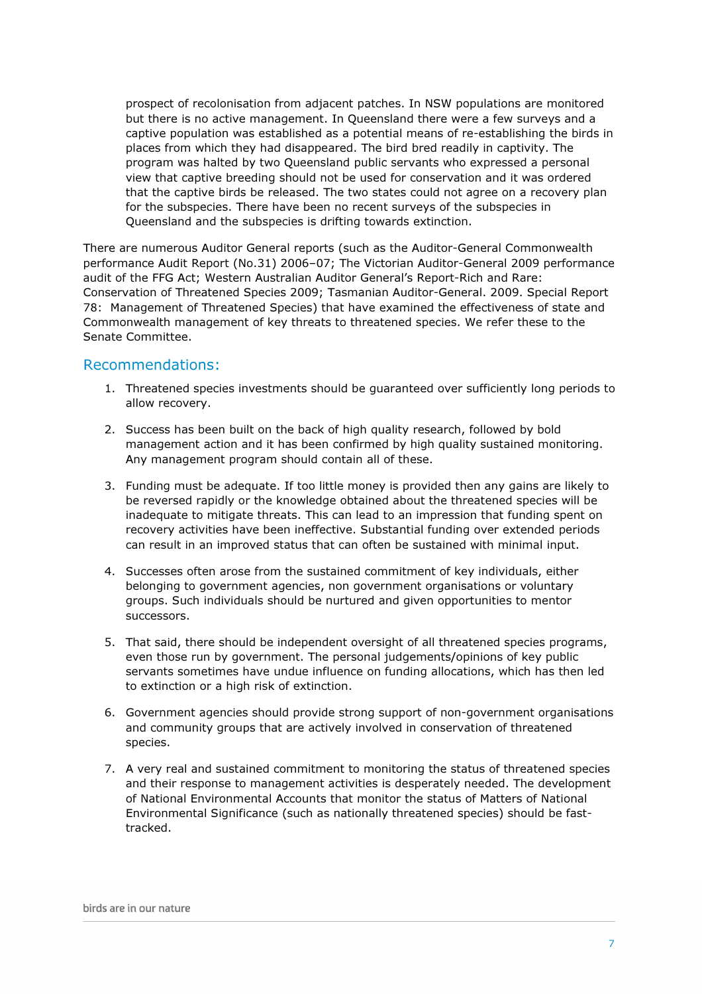prospect of recolonisation from adjacent patches. In NSW populations are monitored but there is no active management. In Queensland there were a few surveys and a captive population was established as a potential means of re-establishing the birds in places from which they had disappeared. The bird bred readily in captivity. The program was halted by two Queensland public servants who expressed a personal view that captive breeding should not be used for conservation and it was ordered that the captive birds be released. The two states could not agree on a recovery plan for the subspecies. There have been no recent surveys of the subspecies in Queensland and the subspecies is drifting towards extinction.

There are numerous Auditor General reports (such as the Auditor-General Commonwealth performance Audit Report (No.31) 2006–07; The Victorian Auditor-General 2009 performance audit of the FFG Act; Western Australian Auditor General's Report-Rich and Rare: Conservation of Threatened Species 2009; Tasmanian Auditor-General. 2009. Special Report 78: Management of Threatened Species) that have examined the effectiveness of state and Commonwealth management of key threats to threatened species. We refer these to the Senate Committee.

## Recommendations:

- 1. Threatened species investments should be guaranteed over sufficiently long periods to allow recovery.
- 2. Success has been built on the back of high quality research, followed by bold management action and it has been confirmed by high quality sustained monitoring. Any management program should contain all of these.
- 3. Funding must be adequate. If too little money is provided then any gains are likely to be reversed rapidly or the knowledge obtained about the threatened species will be inadequate to mitigate threats. This can lead to an impression that funding spent on recovery activities have been ineffective. Substantial funding over extended periods can result in an improved status that can often be sustained with minimal input.
- 4. Successes often arose from the sustained commitment of key individuals, either belonging to government agencies, non government organisations or voluntary groups. Such individuals should be nurtured and given opportunities to mentor successors.
- 5. That said, there should be independent oversight of all threatened species programs, even those run by government. The personal judgements/opinions of key public servants sometimes have undue influence on funding allocations, which has then led to extinction or a high risk of extinction.
- 6. Government agencies should provide strong support of non-government organisations and community groups that are actively involved in conservation of threatened species.
- 7. A very real and sustained commitment to monitoring the status of threatened species and their response to management activities is desperately needed. The development of National Environmental Accounts that monitor the status of Matters of National Environmental Significance (such as nationally threatened species) should be fasttracked.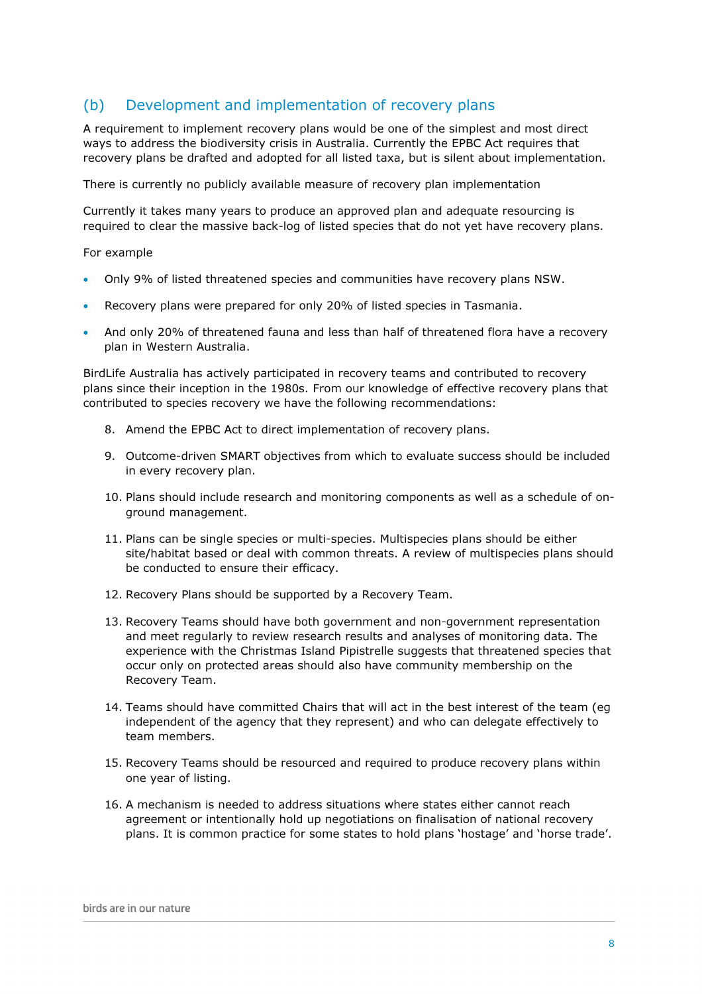## (b) Development and implementation of recovery plans

A requirement to implement recovery plans would be one of the simplest and most direct ways to address the biodiversity crisis in Australia. Currently the EPBC Act requires that recovery plans be drafted and adopted for all listed taxa, but is silent about implementation.

There is currently no publicly available measure of recovery plan implementation

Currently it takes many years to produce an approved plan and adequate resourcing is required to clear the massive back-log of listed species that do not yet have recovery plans.

#### For example

- Only 9% of listed threatened species and communities have recovery plans NSW.
- Recovery plans were prepared for only 20% of listed species in Tasmania.
- And only 20% of threatened fauna and less than half of threatened flora have a recovery plan in Western Australia.

BirdLife Australia has actively participated in recovery teams and contributed to recovery plans since their inception in the 1980s. From our knowledge of effective recovery plans that contributed to species recovery we have the following recommendations:

- 8. Amend the EPBC Act to direct implementation of recovery plans.
- 9. Outcome-driven SMART objectives from which to evaluate success should be included in every recovery plan.
- 10. Plans should include research and monitoring components as well as a schedule of onground management.
- 11. Plans can be single species or multi-species. Multispecies plans should be either site/habitat based or deal with common threats. A review of multispecies plans should be conducted to ensure their efficacy.
- 12. Recovery Plans should be supported by a Recovery Team.
- 13. Recovery Teams should have both government and non-government representation and meet regularly to review research results and analyses of monitoring data. The experience with the Christmas Island Pipistrelle suggests that threatened species that occur only on protected areas should also have community membership on the Recovery Team.
- 14. Teams should have committed Chairs that will act in the best interest of the team (eg independent of the agency that they represent) and who can delegate effectively to team members.
- 15. Recovery Teams should be resourced and required to produce recovery plans within one year of listing.
- 16. A mechanism is needed to address situations where states either cannot reach agreement or intentionally hold up negotiations on finalisation of national recovery plans. It is common practice for some states to hold plans 'hostage' and 'horse trade'.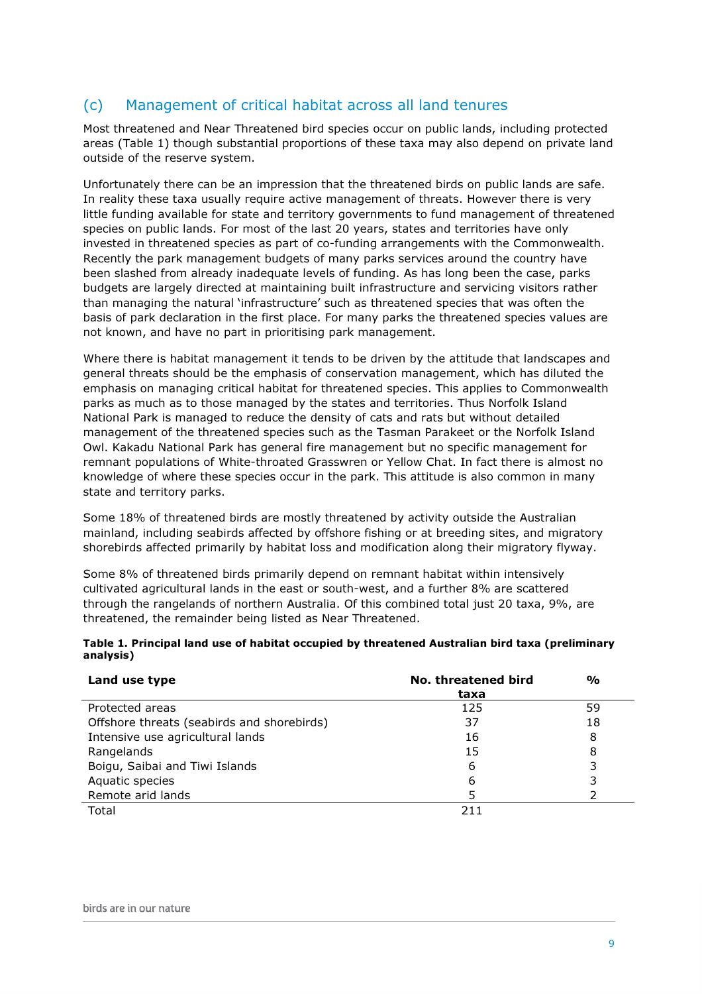# (c) Management of critical habitat across all land tenures

Most threatened and Near Threatened bird species occur on public lands, including protected areas (Table 1) though substantial proportions of these taxa may also depend on private land outside of the reserve system.

Unfortunately there can be an impression that the threatened birds on public lands are safe. In reality these taxa usually require active management of threats. However there is very little funding available for state and territory governments to fund management of threatened species on public lands. For most of the last 20 years, states and territories have only invested in threatened species as part of co-funding arrangements with the Commonwealth. Recently the park management budgets of many parks services around the country have been slashed from already inadequate levels of funding. As has long been the case, parks budgets are largely directed at maintaining built infrastructure and servicing visitors rather than managing the natural 'infrastructure' such as threatened species that was often the basis of park declaration in the first place. For many parks the threatened species values are not known, and have no part in prioritising park management.

Where there is habitat management it tends to be driven by the attitude that landscapes and general threats should be the emphasis of conservation management, which has diluted the emphasis on managing critical habitat for threatened species. This applies to Commonwealth parks as much as to those managed by the states and territories. Thus Norfolk Island National Park is managed to reduce the density of cats and rats but without detailed management of the threatened species such as the Tasman Parakeet or the Norfolk Island Owl. Kakadu National Park has general fire management but no specific management for remnant populations of White-throated Grasswren or Yellow Chat. In fact there is almost no knowledge of where these species occur in the park. This attitude is also common in many state and territory parks.

Some 18% of threatened birds are mostly threatened by activity outside the Australian mainland, including seabirds affected by offshore fishing or at breeding sites, and migratory shorebirds affected primarily by habitat loss and modification along their migratory flyway.

Some 8% of threatened birds primarily depend on remnant habitat within intensively cultivated agricultural lands in the east or south-west, and a further 8% are scattered through the rangelands of northern Australia. Of this combined total just 20 taxa, 9%, are threatened, the remainder being listed as Near Threatened.

|           |  | Table 1. Principal land use of habitat occupied by threatened Australian bird taxa (preliminary |  |  |
|-----------|--|-------------------------------------------------------------------------------------------------|--|--|
| analysis) |  |                                                                                                 |  |  |

| Land use type                              | No. threatened bird<br>taxa | $\frac{1}{2}$ |
|--------------------------------------------|-----------------------------|---------------|
| Protected areas                            | 125                         | 59            |
| Offshore threats (seabirds and shorebirds) | 37                          | 18            |
| Intensive use agricultural lands           | 16                          | 8             |
| Rangelands                                 | 15                          | 8             |
| Boigu, Saibai and Tiwi Islands             | 6                           | 3             |
| Aquatic species                            | 6                           |               |
| Remote arid lands                          | 5                           |               |
| Total                                      |                             |               |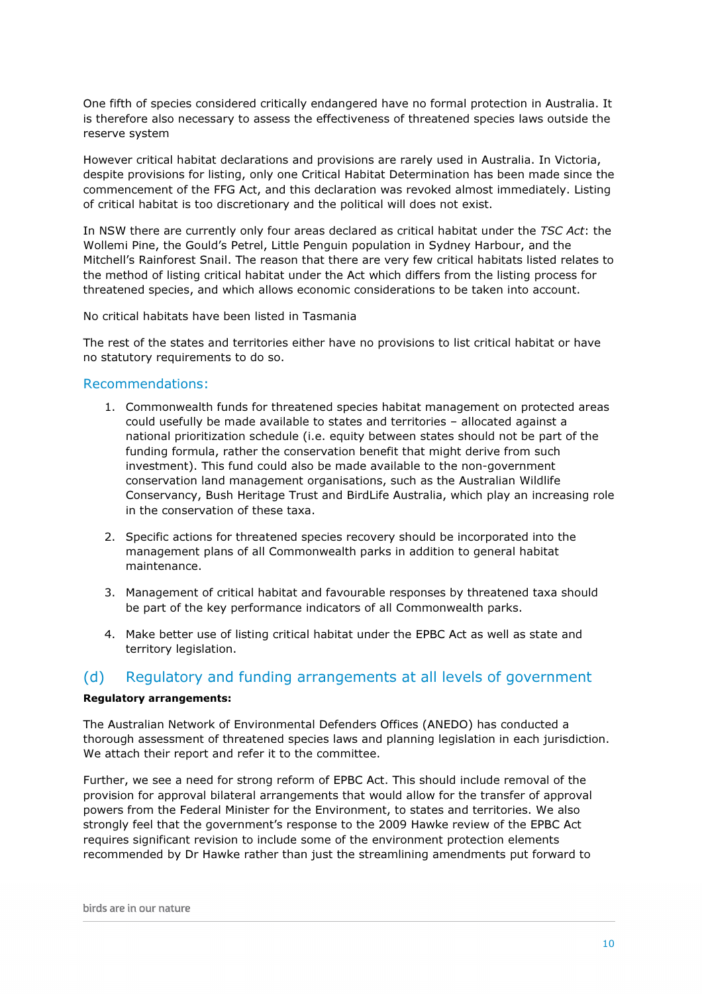One fifth of species considered critically endangered have no formal protection in Australia. It is therefore also necessary to assess the effectiveness of threatened species laws outside the reserve system

However critical habitat declarations and provisions are rarely used in Australia. In Victoria, despite provisions for listing, only one Critical Habitat Determination has been made since the commencement of the FFG Act, and this declaration was revoked almost immediately. Listing of critical habitat is too discretionary and the political will does not exist.

In NSW there are currently only four areas declared as critical habitat under the TSC Act: the Wollemi Pine, the Gould's Petrel, Little Penguin population in Sydney Harbour, and the Mitchell's Rainforest Snail. The reason that there are very few critical habitats listed relates to the method of listing critical habitat under the Act which differs from the listing process for threatened species, and which allows economic considerations to be taken into account.

No critical habitats have been listed in Tasmania

The rest of the states and territories either have no provisions to list critical habitat or have no statutory requirements to do so.

#### Recommendations:

- 1. Commonwealth funds for threatened species habitat management on protected areas could usefully be made available to states and territories – allocated against a national prioritization schedule (i.e. equity between states should not be part of the funding formula, rather the conservation benefit that might derive from such investment). This fund could also be made available to the non-government conservation land management organisations, such as the Australian Wildlife Conservancy, Bush Heritage Trust and BirdLife Australia, which play an increasing role in the conservation of these taxa.
- 2. Specific actions for threatened species recovery should be incorporated into the management plans of all Commonwealth parks in addition to general habitat maintenance.
- 3. Management of critical habitat and favourable responses by threatened taxa should be part of the key performance indicators of all Commonwealth parks.
- 4. Make better use of listing critical habitat under the EPBC Act as well as state and territory legislation.

## (d) Regulatory and funding arrangements at all levels of government

#### Regulatory arrangements:

The Australian Network of Environmental Defenders Offices (ANEDO) has conducted a thorough assessment of threatened species laws and planning legislation in each jurisdiction. We attach their report and refer it to the committee.

Further, we see a need for strong reform of EPBC Act. This should include removal of the provision for approval bilateral arrangements that would allow for the transfer of approval powers from the Federal Minister for the Environment, to states and territories. We also strongly feel that the government's response to the 2009 Hawke review of the EPBC Act requires significant revision to include some of the environment protection elements recommended by Dr Hawke rather than just the streamlining amendments put forward to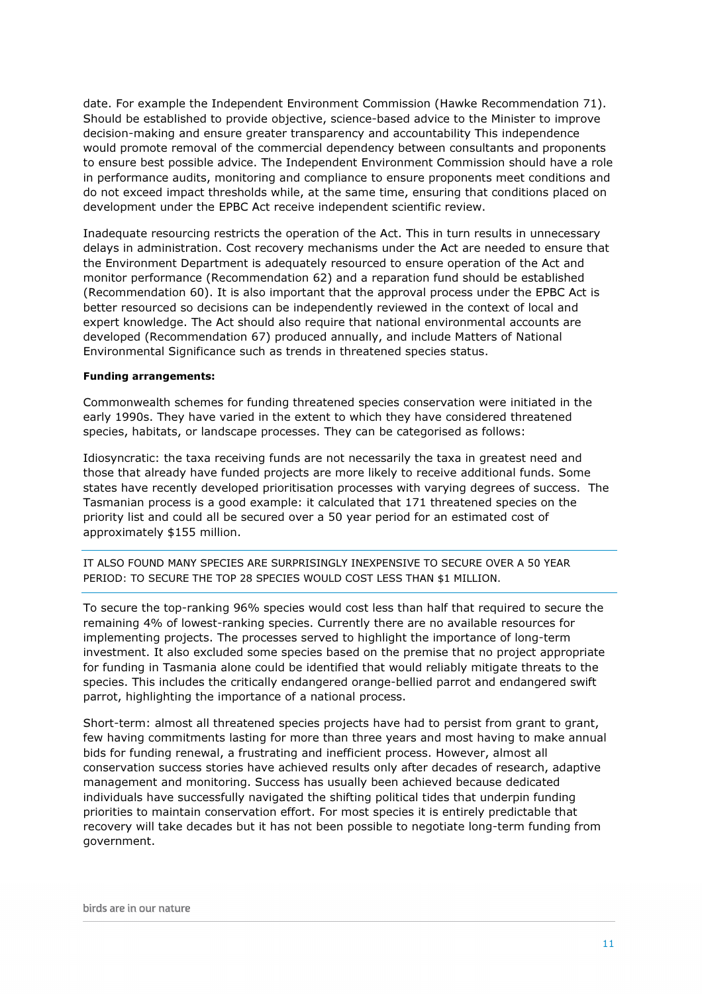date. For example the Independent Environment Commission (Hawke Recommendation 71). Should be established to provide objective, science-based advice to the Minister to improve decision-making and ensure greater transparency and accountability This independence would promote removal of the commercial dependency between consultants and proponents to ensure best possible advice. The Independent Environment Commission should have a role in performance audits, monitoring and compliance to ensure proponents meet conditions and do not exceed impact thresholds while, at the same time, ensuring that conditions placed on development under the EPBC Act receive independent scientific review.

Inadequate resourcing restricts the operation of the Act. This in turn results in unnecessary delays in administration. Cost recovery mechanisms under the Act are needed to ensure that the Environment Department is adequately resourced to ensure operation of the Act and monitor performance (Recommendation 62) and a reparation fund should be established (Recommendation 60). It is also important that the approval process under the EPBC Act is better resourced so decisions can be independently reviewed in the context of local and expert knowledge. The Act should also require that national environmental accounts are developed (Recommendation 67) produced annually, and include Matters of National Environmental Significance such as trends in threatened species status.

#### Funding arrangements:

Commonwealth schemes for funding threatened species conservation were initiated in the early 1990s. They have varied in the extent to which they have considered threatened species, habitats, or landscape processes. They can be categorised as follows:

Idiosyncratic: the taxa receiving funds are not necessarily the taxa in greatest need and those that already have funded projects are more likely to receive additional funds. Some states have recently developed prioritisation processes with varying degrees of success. The Tasmanian process is a good example: it calculated that 171 threatened species on the priority list and could all be secured over a 50 year period for an estimated cost of approximately \$155 million.

IT ALSO FOUND MANY SPECIES ARE SURPRISINGLY INEXPENSIVE TO SECURE OVER A 50 YEAR PERIOD: TO SECURE THE TOP 28 SPECIES WOULD COST LESS THAN \$1 MILLION.

To secure the top-ranking 96% species would cost less than half that required to secure the remaining 4% of lowest-ranking species. Currently there are no available resources for implementing projects. The processes served to highlight the importance of long-term investment. It also excluded some species based on the premise that no project appropriate for funding in Tasmania alone could be identified that would reliably mitigate threats to the species. This includes the critically endangered orange-bellied parrot and endangered swift parrot, highlighting the importance of a national process.

Short-term: almost all threatened species projects have had to persist from grant to grant, few having commitments lasting for more than three years and most having to make annual bids for funding renewal, a frustrating and inefficient process. However, almost all conservation success stories have achieved results only after decades of research, adaptive management and monitoring. Success has usually been achieved because dedicated individuals have successfully navigated the shifting political tides that underpin funding priorities to maintain conservation effort. For most species it is entirely predictable that recovery will take decades but it has not been possible to negotiate long-term funding from government.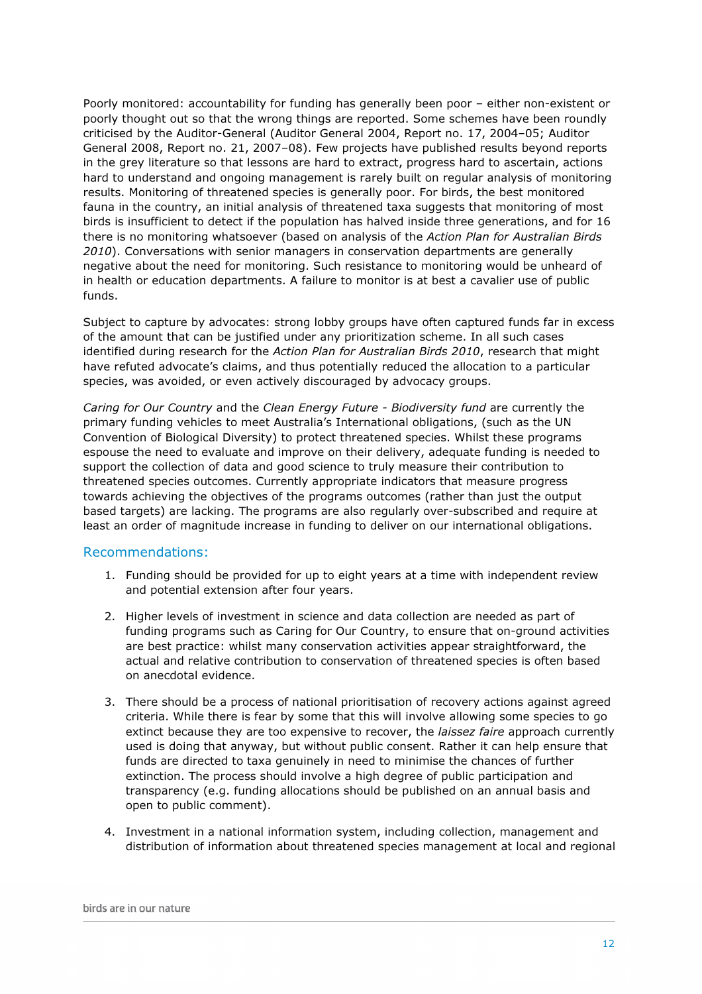Poorly monitored: accountability for funding has generally been poor – either non-existent or poorly thought out so that the wrong things are reported. Some schemes have been roundly criticised by the Auditor-General (Auditor General 2004, Report no. 17, 2004–05; Auditor General 2008, Report no. 21, 2007–08). Few projects have published results beyond reports in the grey literature so that lessons are hard to extract, progress hard to ascertain, actions hard to understand and ongoing management is rarely built on regular analysis of monitoring results. Monitoring of threatened species is generally poor. For birds, the best monitored fauna in the country, an initial analysis of threatened taxa suggests that monitoring of most birds is insufficient to detect if the population has halved inside three generations, and for 16 there is no monitoring whatsoever (based on analysis of the Action Plan for Australian Birds 2010). Conversations with senior managers in conservation departments are generally negative about the need for monitoring. Such resistance to monitoring would be unheard of in health or education departments. A failure to monitor is at best a cavalier use of public funds.

Subject to capture by advocates: strong lobby groups have often captured funds far in excess of the amount that can be justified under any prioritization scheme. In all such cases identified during research for the Action Plan for Australian Birds 2010, research that might have refuted advocate's claims, and thus potentially reduced the allocation to a particular species, was avoided, or even actively discouraged by advocacy groups.

Caring for Our Country and the Clean Energy Future - Biodiversity fund are currently the primary funding vehicles to meet Australia's International obligations, (such as the UN Convention of Biological Diversity) to protect threatened species. Whilst these programs espouse the need to evaluate and improve on their delivery, adequate funding is needed to support the collection of data and good science to truly measure their contribution to threatened species outcomes. Currently appropriate indicators that measure progress towards achieving the objectives of the programs outcomes (rather than just the output based targets) are lacking. The programs are also regularly over-subscribed and require at least an order of magnitude increase in funding to deliver on our international obligations.

#### Recommendations:

- 1. Funding should be provided for up to eight years at a time with independent review and potential extension after four years.
- 2. Higher levels of investment in science and data collection are needed as part of funding programs such as Caring for Our Country, to ensure that on-ground activities are best practice: whilst many conservation activities appear straightforward, the actual and relative contribution to conservation of threatened species is often based on anecdotal evidence.
- 3. There should be a process of national prioritisation of recovery actions against agreed criteria. While there is fear by some that this will involve allowing some species to go extinct because they are too expensive to recover, the *laissez faire* approach currently used is doing that anyway, but without public consent. Rather it can help ensure that funds are directed to taxa genuinely in need to minimise the chances of further extinction. The process should involve a high degree of public participation and transparency (e.g. funding allocations should be published on an annual basis and open to public comment).
- 4. Investment in a national information system, including collection, management and distribution of information about threatened species management at local and regional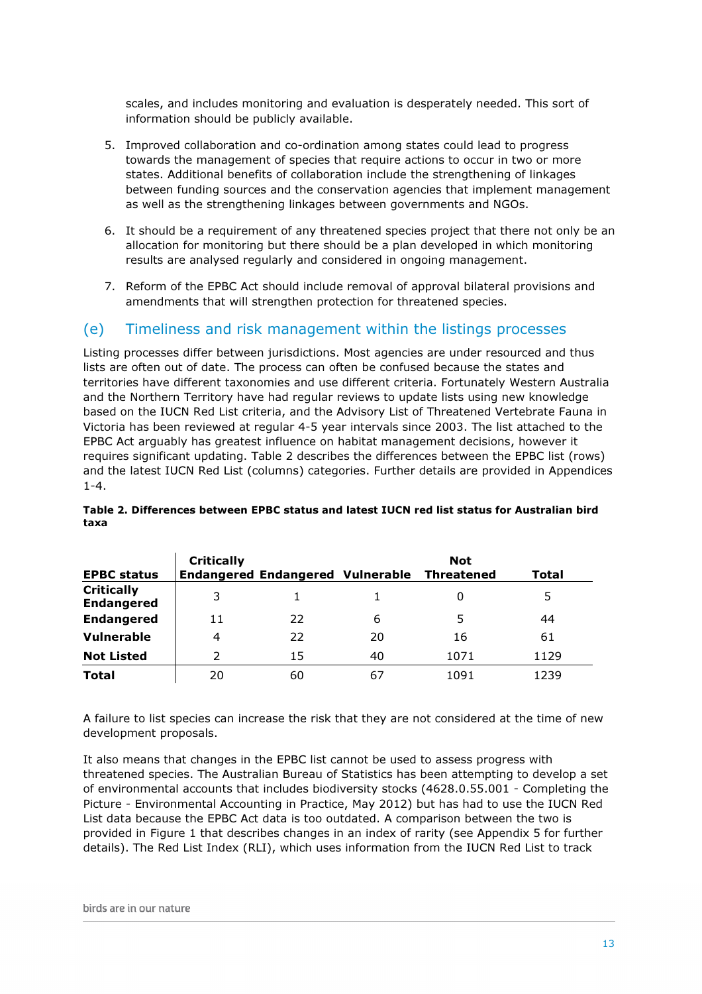scales, and includes monitoring and evaluation is desperately needed. This sort of information should be publicly available.

- 5. Improved collaboration and co-ordination among states could lead to progress towards the management of species that require actions to occur in two or more states. Additional benefits of collaboration include the strengthening of linkages between funding sources and the conservation agencies that implement management as well as the strengthening linkages between governments and NGOs.
- 6. It should be a requirement of any threatened species project that there not only be an allocation for monitoring but there should be a plan developed in which monitoring results are analysed regularly and considered in ongoing management.
- 7. Reform of the EPBC Act should include removal of approval bilateral provisions and amendments that will strengthen protection for threatened species.

## (e) Timeliness and risk management within the listings processes

Listing processes differ between jurisdictions. Most agencies are under resourced and thus lists are often out of date. The process can often be confused because the states and territories have different taxonomies and use different criteria. Fortunately Western Australia and the Northern Territory have had regular reviews to update lists using new knowledge based on the IUCN Red List criteria, and the Advisory List of Threatened Vertebrate Fauna in Victoria has been reviewed at regular 4-5 year intervals since 2003. The list attached to the EPBC Act arguably has greatest influence on habitat management decisions, however it requires significant updating. Table 2 describes the differences between the EPBC list (rows) and the latest IUCN Red List (columns) categories. Further details are provided in Appendices 1-4.

| <b>EPBC status</b>                     | <b>Critically</b> | <b>Endangered Endangered Vulnerable</b> |    | <b>Not</b><br><b>Threatened</b> | Total |
|----------------------------------------|-------------------|-----------------------------------------|----|---------------------------------|-------|
| <b>Critically</b><br><b>Endangered</b> | 3                 |                                         |    |                                 | 5     |
| <b>Endangered</b>                      | 11                | 22                                      | 6  | 5                               | 44    |
| <b>Vulnerable</b>                      | 4                 | 22                                      | 20 | 16                              | 61    |
| <b>Not Listed</b>                      | っ                 | 15                                      | 40 | 1071                            | 1129  |
| <b>Total</b>                           | 20                | 60                                      | 67 | 1091                            | 1239  |

#### Table 2. Differences between EPBC status and latest IUCN red list status for Australian bird taxa

A failure to list species can increase the risk that they are not considered at the time of new development proposals.

It also means that changes in the EPBC list cannot be used to assess progress with threatened species. The Australian Bureau of Statistics has been attempting to develop a set of environmental accounts that includes biodiversity stocks (4628.0.55.001 - Completing the Picture - Environmental Accounting in Practice, May 2012) but has had to use the IUCN Red List data because the EPBC Act data is too outdated. A comparison between the two is provided in Figure 1 that describes changes in an index of rarity (see Appendix 5 for further details). The Red List Index (RLI), which uses information from the IUCN Red List to track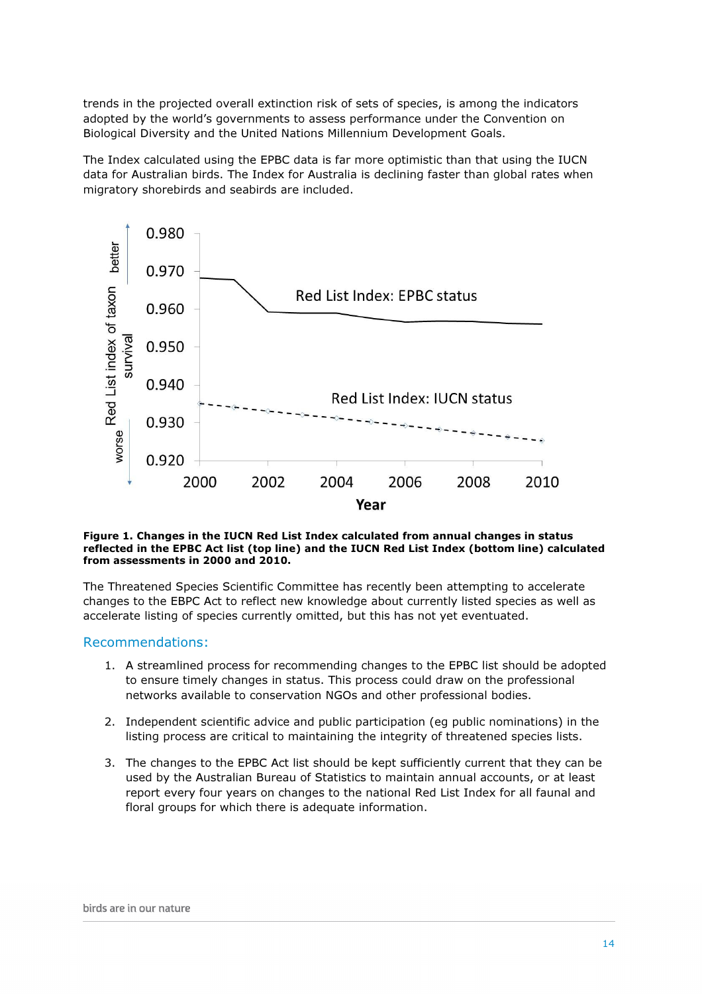trends in the projected overall extinction risk of sets of species, is among the indicators adopted by the world's governments to assess performance under the Convention on Biological Diversity and the United Nations Millennium Development Goals.

The Index calculated using the EPBC data is far more optimistic than that using the IUCN data for Australian birds. The Index for Australia is declining faster than global rates when migratory shorebirds and seabirds are included.



#### Figure 1. Changes in the IUCN Red List Index calculated from annual changes in status reflected in the EPBC Act list (top line) and the IUCN Red List Index (bottom line) calculated from assessments in 2000 and 2010.

The Threatened Species Scientific Committee has recently been attempting to accelerate changes to the EBPC Act to reflect new knowledge about currently listed species as well as accelerate listing of species currently omitted, but this has not yet eventuated.

#### Recommendations:

- 1. A streamlined process for recommending changes to the EPBC list should be adopted to ensure timely changes in status. This process could draw on the professional networks available to conservation NGOs and other professional bodies.
- 2. Independent scientific advice and public participation (eg public nominations) in the listing process are critical to maintaining the integrity of threatened species lists.
- 3. The changes to the EPBC Act list should be kept sufficiently current that they can be used by the Australian Bureau of Statistics to maintain annual accounts, or at least report every four years on changes to the national Red List Index for all faunal and floral groups for which there is adequate information.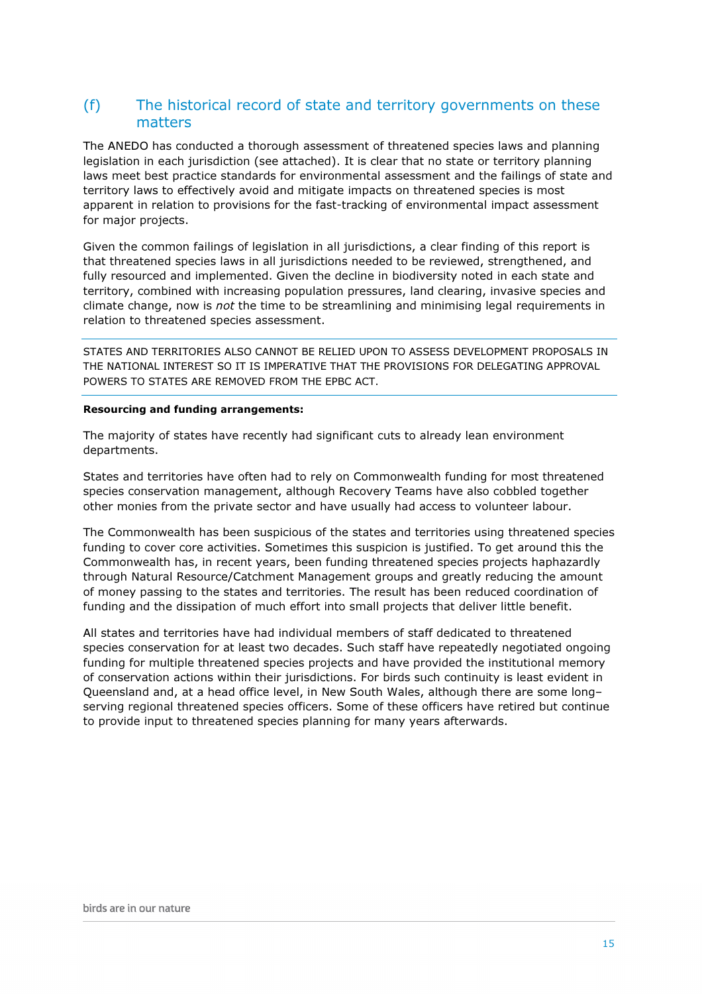## (f) The historical record of state and territory governments on these matters

The ANEDO has conducted a thorough assessment of threatened species laws and planning legislation in each jurisdiction (see attached). It is clear that no state or territory planning laws meet best practice standards for environmental assessment and the failings of state and territory laws to effectively avoid and mitigate impacts on threatened species is most apparent in relation to provisions for the fast-tracking of environmental impact assessment for major projects.

Given the common failings of legislation in all jurisdictions, a clear finding of this report is that threatened species laws in all jurisdictions needed to be reviewed, strengthened, and fully resourced and implemented. Given the decline in biodiversity noted in each state and territory, combined with increasing population pressures, land clearing, invasive species and climate change, now is not the time to be streamlining and minimising legal requirements in relation to threatened species assessment.

STATES AND TERRITORIES ALSO CANNOT BE RELIED UPON TO ASSESS DEVELOPMENT PROPOSALS IN THE NATIONAL INTEREST SO IT IS IMPERATIVE THAT THE PROVISIONS FOR DELEGATING APPROVAL POWERS TO STATES ARE REMOVED FROM THE EPBC ACT.

#### Resourcing and funding arrangements:

The majority of states have recently had significant cuts to already lean environment departments.

States and territories have often had to rely on Commonwealth funding for most threatened species conservation management, although Recovery Teams have also cobbled together other monies from the private sector and have usually had access to volunteer labour.

The Commonwealth has been suspicious of the states and territories using threatened species funding to cover core activities. Sometimes this suspicion is justified. To get around this the Commonwealth has, in recent years, been funding threatened species projects haphazardly through Natural Resource/Catchment Management groups and greatly reducing the amount of money passing to the states and territories. The result has been reduced coordination of funding and the dissipation of much effort into small projects that deliver little benefit.

All states and territories have had individual members of staff dedicated to threatened species conservation for at least two decades. Such staff have repeatedly negotiated ongoing funding for multiple threatened species projects and have provided the institutional memory of conservation actions within their jurisdictions. For birds such continuity is least evident in Queensland and, at a head office level, in New South Wales, although there are some long– serving regional threatened species officers. Some of these officers have retired but continue to provide input to threatened species planning for many years afterwards.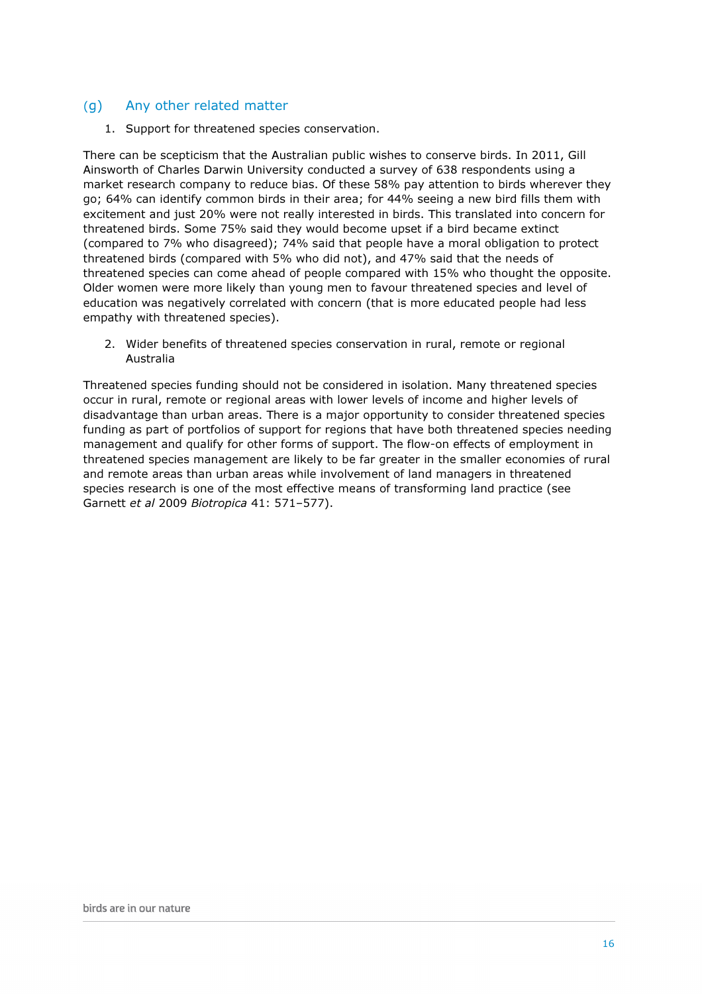### (g) Any other related matter

1. Support for threatened species conservation.

There can be scepticism that the Australian public wishes to conserve birds. In 2011, Gill Ainsworth of Charles Darwin University conducted a survey of 638 respondents using a market research company to reduce bias. Of these 58% pay attention to birds wherever they go; 64% can identify common birds in their area; for 44% seeing a new bird fills them with excitement and just 20% were not really interested in birds. This translated into concern for threatened birds. Some 75% said they would become upset if a bird became extinct (compared to 7% who disagreed); 74% said that people have a moral obligation to protect threatened birds (compared with 5% who did not), and 47% said that the needs of threatened species can come ahead of people compared with 15% who thought the opposite. Older women were more likely than young men to favour threatened species and level of education was negatively correlated with concern (that is more educated people had less empathy with threatened species).

2. Wider benefits of threatened species conservation in rural, remote or regional Australia

Threatened species funding should not be considered in isolation. Many threatened species occur in rural, remote or regional areas with lower levels of income and higher levels of disadvantage than urban areas. There is a major opportunity to consider threatened species funding as part of portfolios of support for regions that have both threatened species needing management and qualify for other forms of support. The flow-on effects of employment in threatened species management are likely to be far greater in the smaller economies of rural and remote areas than urban areas while involvement of land managers in threatened species research is one of the most effective means of transforming land practice (see Garnett et al 2009 Biotropica 41: 571–577).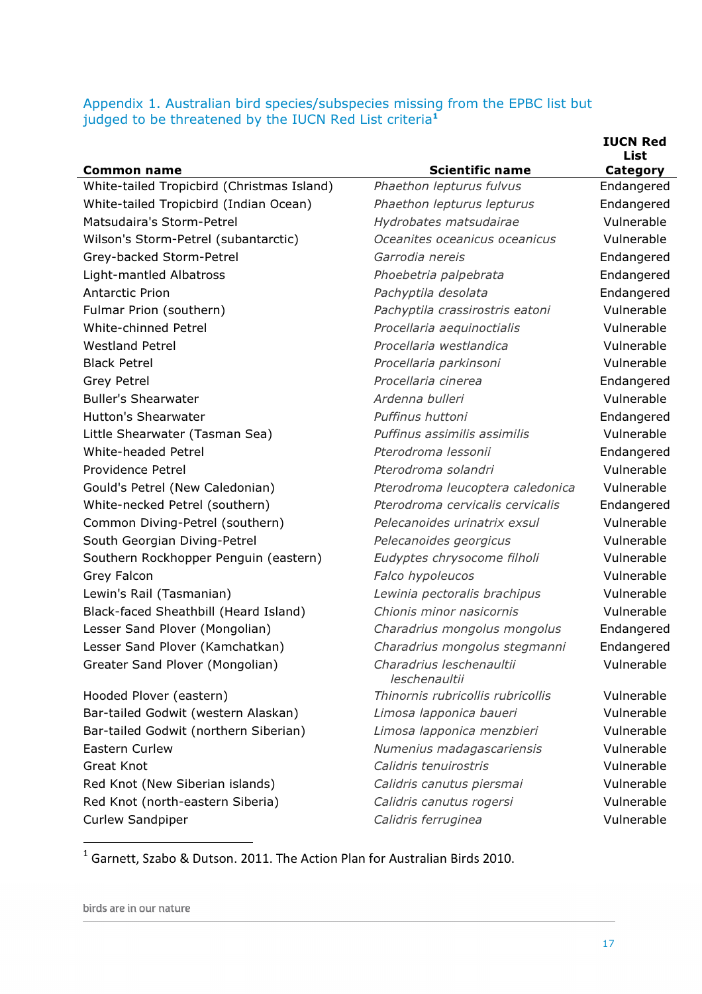## Appendix 1. Australian bird species/subspecies missing from the EPBC list but judged to be threatened by the IUCN Red List criteria<sup>1</sup>

|                                            |                                           | <b>IUCN Red</b><br>List |
|--------------------------------------------|-------------------------------------------|-------------------------|
| <b>Common name</b>                         | <b>Scientific name</b>                    | <b>Category</b>         |
| White-tailed Tropicbird (Christmas Island) | Phaethon lepturus fulvus                  | Endangered              |
| White-tailed Tropicbird (Indian Ocean)     | Phaethon lepturus lepturus                | Endangered              |
| Matsudaira's Storm-Petrel                  | Hydrobates matsudairae                    | Vulnerable              |
| Wilson's Storm-Petrel (subantarctic)       | Oceanites oceanicus oceanicus             | Vulnerable              |
| Grey-backed Storm-Petrel                   | Garrodia nereis                           | Endangered              |
| Light-mantled Albatross                    | Phoebetria palpebrata                     | Endangered              |
| <b>Antarctic Prion</b>                     | Pachyptila desolata                       | Endangered              |
| Fulmar Prion (southern)                    | Pachyptila crassirostris eatoni           | Vulnerable              |
| White-chinned Petrel                       | Procellaria aequinoctialis                | Vulnerable              |
| <b>Westland Petrel</b>                     | Procellaria westlandica                   | Vulnerable              |
| <b>Black Petrel</b>                        | Procellaria parkinsoni                    | Vulnerable              |
| <b>Grey Petrel</b>                         | Procellaria cinerea                       | Endangered              |
| <b>Buller's Shearwater</b>                 | Ardenna bulleri                           | Vulnerable              |
| <b>Hutton's Shearwater</b>                 | Puffinus huttoni                          | Endangered              |
| Little Shearwater (Tasman Sea)             | Puffinus assimilis assimilis              | Vulnerable              |
| White-headed Petrel                        | Pterodroma lessonii                       | Endangered              |
| Providence Petrel                          | Pterodroma solandri                       | Vulnerable              |
| Gould's Petrel (New Caledonian)            | Pterodroma leucoptera caledonica          | Vulnerable              |
| White-necked Petrel (southern)             | Pterodroma cervicalis cervicalis          | Endangered              |
| Common Diving-Petrel (southern)            | Pelecanoides urinatrix exsul              | Vulnerable              |
| South Georgian Diving-Petrel               | Pelecanoides georgicus                    | Vulnerable              |
| Southern Rockhopper Penguin (eastern)      | Eudyptes chrysocome filholi               | Vulnerable              |
| Grey Falcon                                | Falco hypoleucos                          | Vulnerable              |
| Lewin's Rail (Tasmanian)                   | Lewinia pectoralis brachipus              | Vulnerable              |
| Black-faced Sheathbill (Heard Island)      | Chionis minor nasicornis                  | Vulnerable              |
| Lesser Sand Plover (Mongolian)             | Charadrius mongolus mongolus              | Endangered              |
| Lesser Sand Plover (Kamchatkan)            | Charadrius mongolus stegmanni             | Endangered              |
| Greater Sand Plover (Mongolian)            | Charadrius leschenaultii<br>leschenaultii | Vulnerable              |
| Hooded Plover (eastern)                    | Thinornis rubricollis rubricollis         | Vulnerable              |
| Bar-tailed Godwit (western Alaskan)        | Limosa lapponica baueri                   | Vulnerable              |
| Bar-tailed Godwit (northern Siberian)      | Limosa lapponica menzbieri                | Vulnerable              |
| <b>Eastern Curlew</b>                      | Numenius madagascariensis                 | Vulnerable              |
| Great Knot                                 | Calidris tenuirostris                     | Vulnerable              |
| Red Knot (New Siberian islands)            | Calidris canutus piersmai                 | Vulnerable              |
| Red Knot (north-eastern Siberia)           | Calidris canutus rogersi                  | Vulnerable              |
| Curlew Sandpiper                           | Calidris ferruginea                       | Vulnerable              |

1 Garnett, Szabo & Dutson. 2011. The Action Plan for Australian Birds 2010.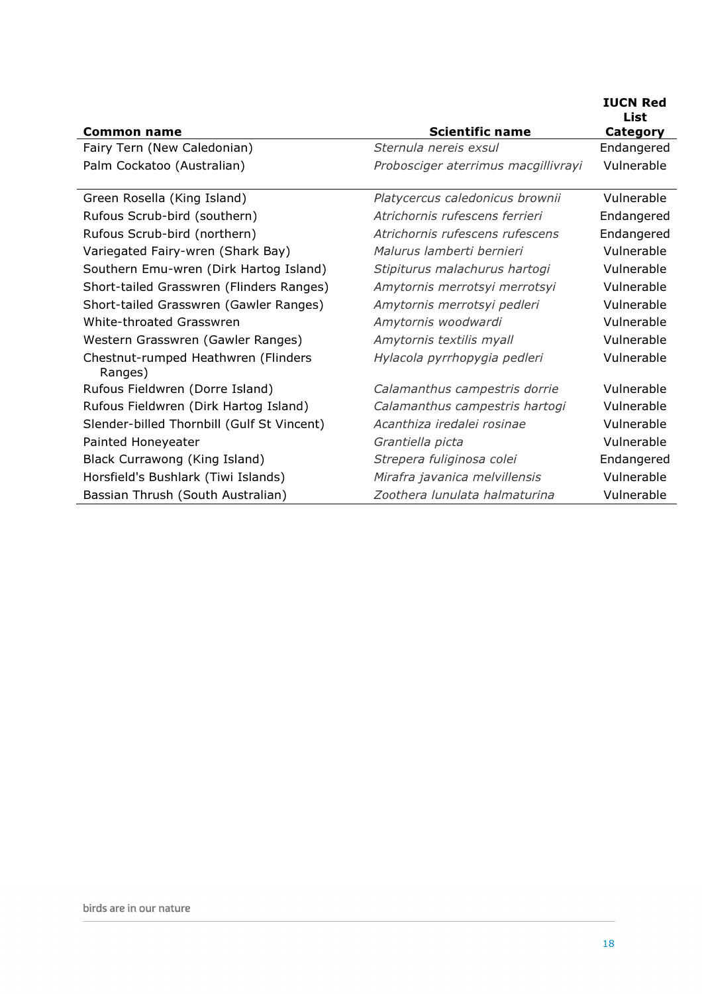| <b>Common name</b>                             | <b>Scientific name</b>              | <b>IUCN Red</b><br>List<br><b>Category</b> |
|------------------------------------------------|-------------------------------------|--------------------------------------------|
| Fairy Tern (New Caledonian)                    | Sternula nereis exsul               | Endangered                                 |
| Palm Cockatoo (Australian)                     | Probosciger aterrimus macgillivrayi | Vulnerable                                 |
| Green Rosella (King Island)                    | Platycercus caledonicus brownii     | Vulnerable                                 |
| Rufous Scrub-bird (southern)                   | Atrichornis rufescens ferrieri      | Endangered                                 |
| Rufous Scrub-bird (northern)                   | Atrichornis rufescens rufescens     | Endangered                                 |
| Variegated Fairy-wren (Shark Bay)              | Malurus lamberti bernieri           | Vulnerable                                 |
| Southern Emu-wren (Dirk Hartog Island)         | Stipiturus malachurus hartogi       | Vulnerable                                 |
| Short-tailed Grasswren (Flinders Ranges)       | Amytornis merrotsyi merrotsyi       | Vulnerable                                 |
| Short-tailed Grasswren (Gawler Ranges)         | Amytornis merrotsyi pedleri         | Vulnerable                                 |
| White-throated Grasswren                       | Amytornis woodwardi                 | Vulnerable                                 |
| Western Grasswren (Gawler Ranges)              | Amytornis textilis myall            | Vulnerable                                 |
| Chestnut-rumped Heathwren (Flinders<br>Ranges) | Hylacola pyrrhopygia pedleri        | Vulnerable                                 |
| Rufous Fieldwren (Dorre Island)                | Calamanthus campestris dorrie       | Vulnerable                                 |
| Rufous Fieldwren (Dirk Hartog Island)          | Calamanthus campestris hartogi      | Vulnerable                                 |
| Slender-billed Thornbill (Gulf St Vincent)     | Acanthiza iredalei rosinae          | Vulnerable                                 |
| Painted Honeyeater                             | Grantiella picta                    | Vulnerable                                 |
| Black Currawong (King Island)                  | Strepera fuliginosa colei           | Endangered                                 |
| Horsfield's Bushlark (Tiwi Islands)            | Mirafra javanica melvillensis       | Vulnerable                                 |
| Bassian Thrush (South Australian)              | Zoothera lunulata halmaturina       | Vulnerable                                 |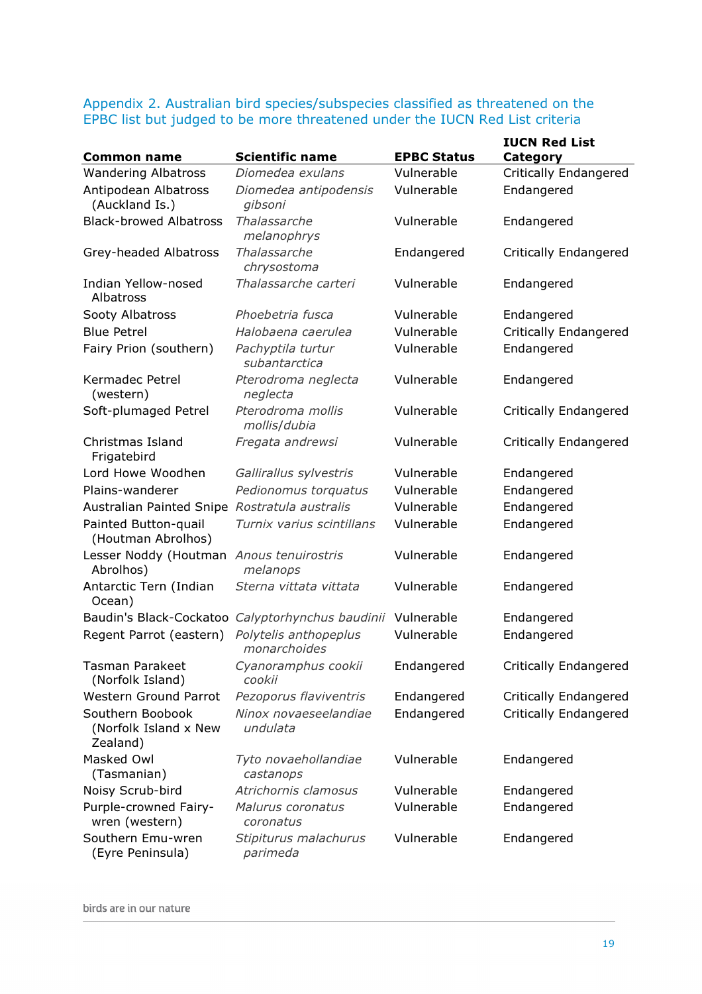## Appendix 2. Australian bird species/subspecies classified as threatened on the EPBC list but judged to be more threatened under the IUCN Red List criteria

|                                                       |                                       |                    | <b>IUCN Red List</b>         |
|-------------------------------------------------------|---------------------------------------|--------------------|------------------------------|
| <b>Common name</b>                                    | <b>Scientific name</b>                | <b>EPBC Status</b> | Category                     |
| <b>Wandering Albatross</b>                            | Diomedea exulans                      | Vulnerable         | <b>Critically Endangered</b> |
| Antipodean Albatross<br>(Auckland Is.)                | Diomedea antipodensis<br>gibsoni      | Vulnerable         | Endangered                   |
| <b>Black-browed Albatross</b>                         | Thalassarche<br>melanophrys           | Vulnerable         | Endangered                   |
| Grey-headed Albatross                                 | Thalassarche<br>chrysostoma           | Endangered         | <b>Critically Endangered</b> |
| Indian Yellow-nosed<br>Albatross                      | Thalassarche carteri                  | Vulnerable         | Endangered                   |
| Sooty Albatross                                       | Phoebetria fusca                      | Vulnerable         | Endangered                   |
| <b>Blue Petrel</b>                                    | Halobaena caerulea                    | Vulnerable         | <b>Critically Endangered</b> |
| Fairy Prion (southern)                                | Pachyptila turtur<br>subantarctica    | Vulnerable         | Endangered                   |
| <b>Kermadec Petrel</b><br>(western)                   | Pterodroma neglecta<br>neglecta       | Vulnerable         | Endangered                   |
| Soft-plumaged Petrel                                  | Pterodroma mollis<br>mollis/dubia     | Vulnerable         | <b>Critically Endangered</b> |
| Christmas Island<br>Frigatebird                       | Fregata andrewsi                      | Vulnerable         | <b>Critically Endangered</b> |
| Lord Howe Woodhen                                     | Gallirallus sylvestris                | Vulnerable         | Endangered                   |
| Plains-wanderer                                       | Pedionomus torquatus                  | Vulnerable         | Endangered                   |
| Australian Painted Snipe                              | Rostratula australis                  | Vulnerable         | Endangered                   |
| Painted Button-quail<br>(Houtman Abrolhos)            | Turnix varius scintillans             | Vulnerable         | Endangered                   |
| Lesser Noddy (Houtman<br>Abrolhos)                    | Anous tenuirostris<br>melanops        | Vulnerable         | Endangered                   |
| Antarctic Tern (Indian<br>Ocean)                      | Sterna vittata vittata                | Vulnerable         | Endangered                   |
| Baudin's Black-Cockatoo                               | Calyptorhynchus baudinii              | Vulnerable         | Endangered                   |
| Regent Parrot (eastern)                               | Polytelis anthopeplus<br>monarchoides | Vulnerable         | Endangered                   |
| <b>Tasman Parakeet</b><br>(Norfolk Island)            | Cyanoramphus cookii<br>cookii         | Endangered         | <b>Critically Endangered</b> |
| <b>Western Ground Parrot</b>                          | Pezoporus flaviventris                | Endangered         | <b>Critically Endangered</b> |
| Southern Boobook<br>(Norfolk Island x New<br>Zealand) | Ninox novaeseelandiae<br>undulata     | Endangered         | <b>Critically Endangered</b> |
| Masked Owl<br>(Tasmanian)                             | Tyto novaehollandiae<br>castanops     | Vulnerable         | Endangered                   |
| Noisy Scrub-bird                                      | Atrichornis clamosus                  | Vulnerable         | Endangered                   |
| Purple-crowned Fairy-<br>wren (western)               | Malurus coronatus<br>coronatus        | Vulnerable         | Endangered                   |
| Southern Emu-wren<br>(Eyre Peninsula)                 | Stipiturus malachurus<br>parimeda     | Vulnerable         | Endangered                   |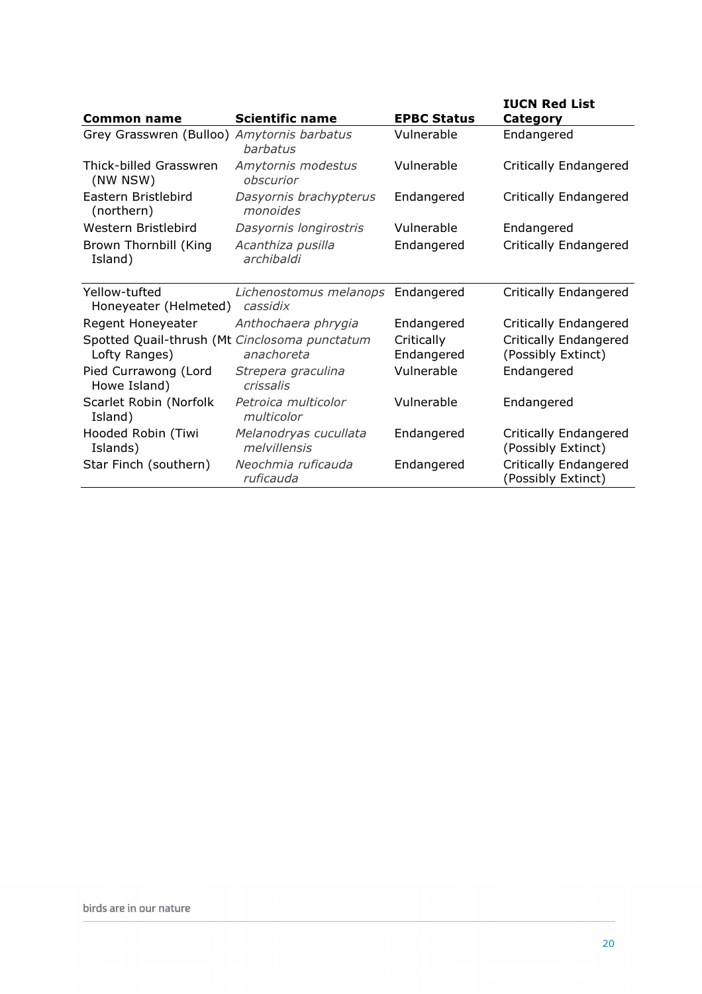| <b>Common name</b>                                             | <b>Scientific name</b>                        | <b>EPBC Status</b>       | <b>IUCN Red List</b><br>Category                   |
|----------------------------------------------------------------|-----------------------------------------------|--------------------------|----------------------------------------------------|
| Grey Grasswren (Bulloo) Amytornis barbatus                     | barbatus                                      | Vulnerable               | Endangered                                         |
| Thick-billed Grasswren<br>(NW NSW)                             | Amytornis modestus<br>obscurior               | Vulnerable               | <b>Critically Endangered</b>                       |
| Eastern Bristlebird<br>(northern)                              | Dasyornis brachypterus<br>monoides            | Endangered               | <b>Critically Endangered</b>                       |
| Western Bristlebird                                            | Dasyornis longirostris                        | Vulnerable               | Endangered                                         |
| Brown Thornbill (King<br>Island)                               | Acanthiza pusilla<br>archibaldi               | Endangered               | <b>Critically Endangered</b>                       |
| Yellow-tufted<br>Honeyeater (Helmeted)                         | Lichenostomus melanops Endangered<br>cassidix |                          | <b>Critically Endangered</b>                       |
| Regent Honeyeater                                              | Anthochaera phrygia                           | Endangered               | <b>Critically Endangered</b>                       |
| Spotted Quail-thrush (Mt Cinclosoma punctatum<br>Lofty Ranges) | anachoreta                                    | Critically<br>Endangered | <b>Critically Endangered</b><br>(Possibly Extinct) |
| Pied Currawong (Lord<br>Howe Island)                           | Strepera graculina<br>crissalis               | Vulnerable               | Endangered                                         |
| Scarlet Robin (Norfolk<br>Island)                              | Petroica multicolor<br>multicolor             | Vulnerable               | Endangered                                         |
| Hooded Robin (Tiwi<br>Islands)                                 | Melanodryas cucullata<br>melvillensis         | Endangered               | Critically Endangered<br>(Possibly Extinct)        |
| Star Finch (southern)                                          | Neochmia ruficauda<br>ruficauda               | Endangered               | <b>Critically Endangered</b><br>(Possibly Extinct) |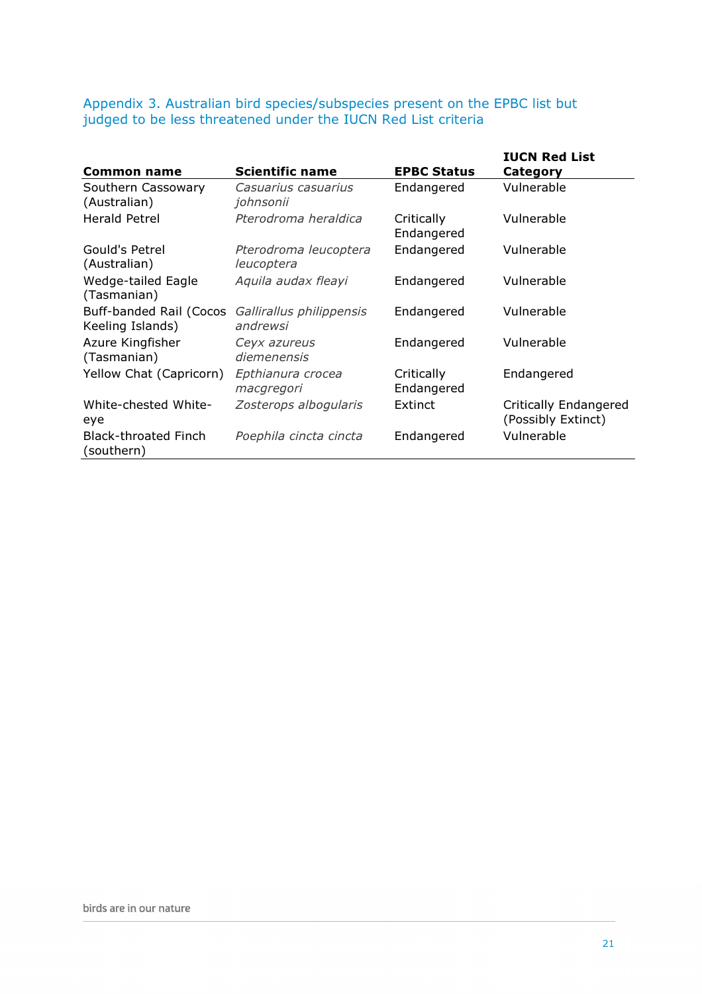Appendix 3. Australian bird species/subspecies present on the EPBC list but judged to be less threatened under the IUCN Red List criteria

| <b>Common name</b>                          | <b>Scientific name</b>               | <b>EPBC Status</b>       | <b>IUCN Red List</b><br>Category            |
|---------------------------------------------|--------------------------------------|--------------------------|---------------------------------------------|
| Southern Cassowary<br>(Australian)          | Casuarius casuarius<br>johnsonii     | Endangered               | Vulnerable                                  |
| <b>Herald Petrel</b>                        | Pterodroma heraldica                 | Critically<br>Endangered | Vulnerable                                  |
| Gould's Petrel<br>(Australian)              | Pterodroma leucoptera<br>leucoptera  | Endangered               | Vulnerable                                  |
| Wedge-tailed Eagle<br>(Tasmanian)           | Aquila audax fleayi                  | Endangered               | Vulnerable                                  |
| Buff-banded Rail (Cocos<br>Keeling Islands) | Gallirallus philippensis<br>andrewsi | Endangered               | Vulnerable                                  |
| Azure Kingfisher<br>(Tasmanian)             | Ceyx azureus<br>diemenensis          | Endangered               | Vulnerable                                  |
| Yellow Chat (Capricorn)                     | Epthianura crocea<br>macgregori      | Critically<br>Endangered | Endangered                                  |
| White-chested White-<br>eye                 | Zosterops albogularis                | Extinct                  | Critically Endangered<br>(Possibly Extinct) |
| <b>Black-throated Finch</b><br>(southern)   | Poephila cincta cincta               | Endangered               | Vulnerable                                  |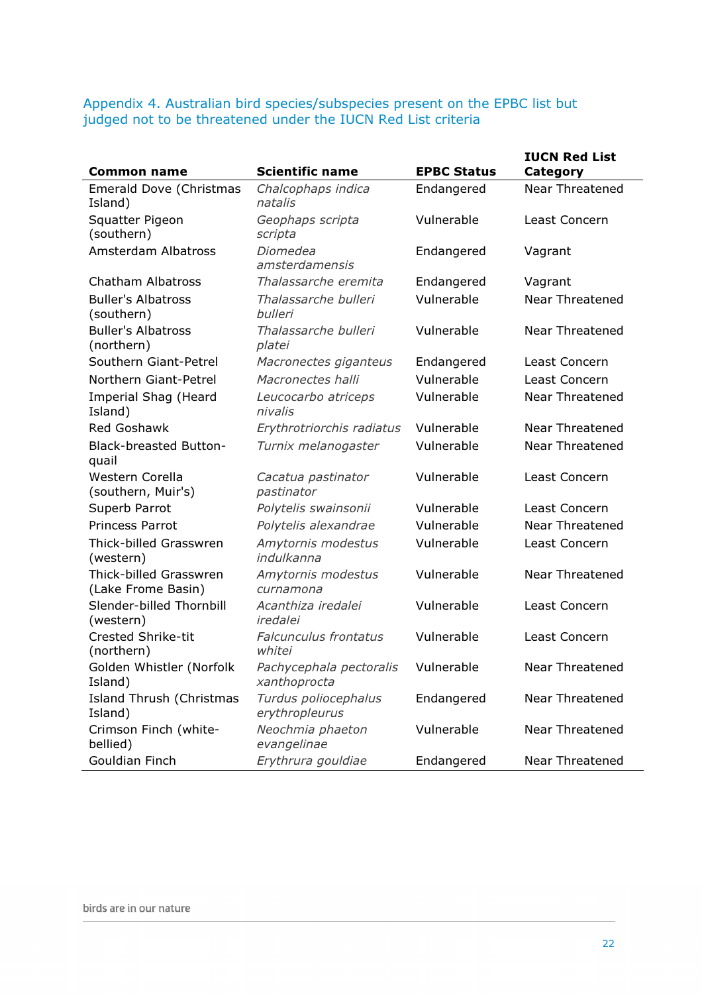Appendix 4. Australian bird species/subspecies present on the EPBC list but judged not to be threatened under the IUCN Red List criteria

| <b>Common name</b>                           | <b>Scientific name</b>                  | <b>EPBC Status</b> | <b>IUCN Red List</b><br>Category |
|----------------------------------------------|-----------------------------------------|--------------------|----------------------------------|
| Emerald Dove (Christmas                      | Chalcophaps indica                      | Endangered         | <b>Near Threatened</b>           |
| Island)                                      | natalis                                 |                    |                                  |
| Squatter Pigeon                              | Geophaps scripta                        | Vulnerable         | Least Concern                    |
| (southern)                                   | scripta                                 |                    |                                  |
| <b>Amsterdam Albatross</b>                   | Diomedea<br>amsterdamensis              | Endangered         | Vagrant                          |
| <b>Chatham Albatross</b>                     | Thalassarche eremita                    | Endangered         | Vagrant                          |
| <b>Buller's Albatross</b><br>(southern)      | Thalassarche bulleri<br>bulleri         | Vulnerable         | <b>Near Threatened</b>           |
| <b>Buller's Albatross</b><br>(northern)      | Thalassarche bulleri<br>platei          | Vulnerable         | <b>Near Threatened</b>           |
| Southern Giant-Petrel                        | Macronectes giganteus                   | Endangered         | Least Concern                    |
| Northern Giant-Petrel                        | Macronectes halli                       | Vulnerable         | Least Concern                    |
| Imperial Shag (Heard<br>Island)              | Leucocarbo atriceps<br>nivalis          | Vulnerable         | <b>Near Threatened</b>           |
| Red Goshawk                                  | Erythrotriorchis radiatus               | Vulnerable         | Near Threatened                  |
| <b>Black-breasted Button-</b><br>quail       | Turnix melanogaster                     | Vulnerable         | <b>Near Threatened</b>           |
| Western Corella<br>(southern, Muir's)        | Cacatua pastinator<br>pastinator        | Vulnerable         | Least Concern                    |
| Superb Parrot                                | Polytelis swainsonii                    | Vulnerable         | Least Concern                    |
| Princess Parrot                              | Polytelis alexandrae                    | Vulnerable         | <b>Near Threatened</b>           |
| Thick-billed Grasswren<br>(western)          | Amytornis modestus<br>indulkanna        | Vulnerable         | Least Concern                    |
| Thick-billed Grasswren<br>(Lake Frome Basin) | Amytornis modestus<br>curnamona         | Vulnerable         | <b>Near Threatened</b>           |
| Slender-billed Thornbill<br>(western)        | Acanthiza iredalei<br>iredalei          | Vulnerable         | Least Concern                    |
| <b>Crested Shrike-tit</b><br>(northern)      | <b>Falcunculus frontatus</b><br>whitei  | Vulnerable         | Least Concern                    |
| Golden Whistler (Norfolk<br>Island)          | Pachycephala pectoralis<br>xanthoprocta | Vulnerable         | Near Threatened                  |
| Island Thrush (Christmas<br>Island)          | Turdus poliocephalus<br>erythropleurus  | Endangered         | <b>Near Threatened</b>           |
| Crimson Finch (white-<br>bellied)            | Neochmia phaeton<br>evangelinae         | Vulnerable         | <b>Near Threatened</b>           |
| Gouldian Finch                               | Erythrura gouldiae                      | Endangered         | Near Threatened                  |